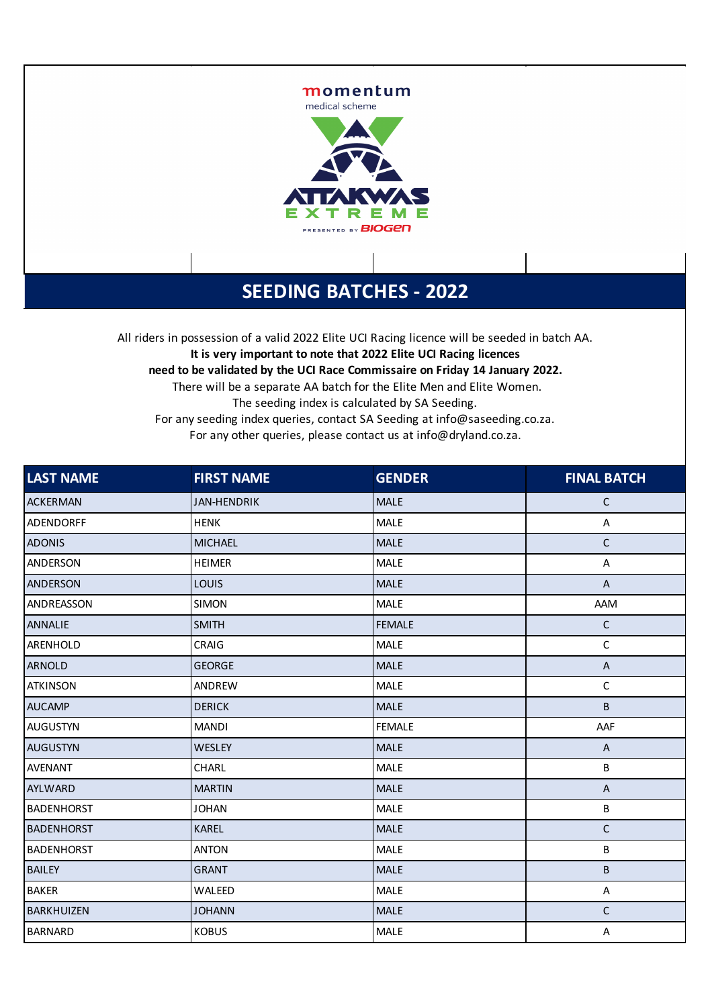

## **SEEDING BATCHES - 2022**

All riders in possession of a valid 2022 Elite UCI Racing licence will be seeded in batch AA. **It is very important to note that 2022 Elite UCI Racing licences need to be validated by the UCI Race Commissaire on Friday 14 January 2022.** There will be a separate AA batch for the Elite Men and Elite Women. The seeding index is calculated by SA Seeding. For any seeding index queries, contact SA Seeding at info@saseeding.co.za. For any other queries, please contact us at info@dryland.co.za.

| LAST NAME         | <b>FIRST NAME</b>  | <b>GENDER</b> | <b>FINAL BATCH</b>        |
|-------------------|--------------------|---------------|---------------------------|
| <b>ACKERMAN</b>   | <b>JAN-HENDRIK</b> | <b>MALE</b>   | $\mathsf C$               |
| ADENDORFF         | <b>HENK</b>        | MALE          | Α                         |
| <b>ADONIS</b>     | <b>MICHAEL</b>     | <b>MALE</b>   | $\mathsf{C}$              |
| ANDERSON          | <b>HEIMER</b>      | <b>MALE</b>   | $\mathsf A$               |
| <b>ANDERSON</b>   | <b>LOUIS</b>       | <b>MALE</b>   | $\boldsymbol{\mathsf{A}}$ |
| ANDREASSON        | <b>SIMON</b>       | <b>MALE</b>   | AAM                       |
| <b>ANNALIE</b>    | <b>SMITH</b>       | <b>FEMALE</b> | $\mathsf C$               |
| ARENHOLD          | CRAIG              | <b>MALE</b>   | $\mathsf C$               |
| <b>ARNOLD</b>     | <b>GEORGE</b>      | <b>MALE</b>   | $\boldsymbol{\mathsf{A}}$ |
| <b>ATKINSON</b>   | ANDREW             | <b>MALE</b>   | $\mathsf C$               |
| <b>AUCAMP</b>     | <b>DERICK</b>      | <b>MALE</b>   | B                         |
| <b>AUGUSTYN</b>   | <b>MANDI</b>       | <b>FEMALE</b> | AAF                       |
| <b>AUGUSTYN</b>   | WESLEY             | <b>MALE</b>   | A                         |
| <b>AVENANT</b>    | CHARL              | <b>MALE</b>   | В                         |
| <b>AYLWARD</b>    | <b>MARTIN</b>      | <b>MALE</b>   | $\boldsymbol{\mathsf{A}}$ |
| <b>BADENHORST</b> | <b>JOHAN</b>       | <b>MALE</b>   | B                         |
| <b>BADENHORST</b> | <b>KAREL</b>       | <b>MALE</b>   | $\mathsf C$               |
| <b>BADENHORST</b> | <b>ANTON</b>       | <b>MALE</b>   | B                         |
| <b>BAILEY</b>     | <b>GRANT</b>       | <b>MALE</b>   | B                         |
| <b>BAKER</b>      | WALEED             | <b>MALE</b>   | Α                         |
| <b>BARKHUIZEN</b> | <b>JOHANN</b>      | <b>MALE</b>   | $\mathsf C$               |
| <b>BARNARD</b>    | <b>KOBUS</b>       | <b>MALE</b>   | A                         |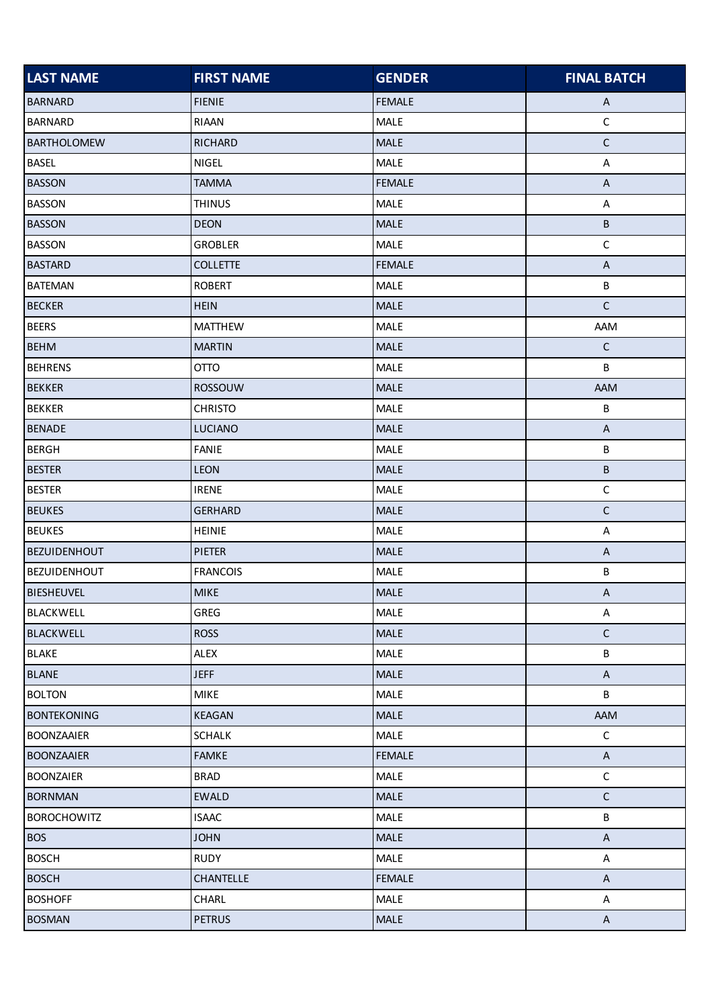| <b>LAST NAME</b>    | <b>FIRST NAME</b> | <b>GENDER</b> | <b>FINAL BATCH</b>        |
|---------------------|-------------------|---------------|---------------------------|
| <b>BARNARD</b>      | <b>FIENIE</b>     | <b>FEMALE</b> | $\mathsf{A}$              |
| <b>BARNARD</b>      | RIAAN             | MALE          | $\mathsf C$               |
| <b>BARTHOLOMEW</b>  | <b>RICHARD</b>    | MALE          | $\mathsf C$               |
| <b>BASEL</b>        | <b>NIGEL</b>      | MALE          | $\boldsymbol{\mathsf{A}}$ |
| <b>BASSON</b>       | <b>TAMMA</b>      | <b>FEMALE</b> | $\boldsymbol{\mathsf{A}}$ |
| <b>BASSON</b>       | <b>THINUS</b>     | MALE          | A                         |
| <b>BASSON</b>       | <b>DEON</b>       | <b>MALE</b>   | В                         |
| <b>BASSON</b>       | <b>GROBLER</b>    | MALE          | $\mathsf C$               |
| <b>BASTARD</b>      | <b>COLLETTE</b>   | <b>FEMALE</b> | $\boldsymbol{\mathsf{A}}$ |
| <b>BATEMAN</b>      | <b>ROBERT</b>     | MALE          | B                         |
| <b>BECKER</b>       | <b>HEIN</b>       | MALE          | $\mathsf C$               |
| <b>BEERS</b>        | <b>MATTHEW</b>    | MALE          | AAM                       |
| <b>BEHM</b>         | <b>MARTIN</b>     | MALE          | $\mathsf C$               |
| <b>BEHRENS</b>      | <b>OTTO</b>       | <b>MALE</b>   | B                         |
| <b>BEKKER</b>       | ROSSOUW           | <b>MALE</b>   | AAM                       |
| <b>BEKKER</b>       | <b>CHRISTO</b>    | MALE          | B                         |
| <b>BENADE</b>       | LUCIANO           | MALE          | $\sf A$                   |
| <b>BERGH</b>        | FANIE             | MALE          | B                         |
| <b>BESTER</b>       | <b>LEON</b>       | <b>MALE</b>   | B                         |
| <b>BESTER</b>       | <b>IRENE</b>      | MALE          | $\mathsf C$               |
| <b>BEUKES</b>       | <b>GERHARD</b>    | <b>MALE</b>   | $\mathsf C$               |
| <b>BEUKES</b>       | <b>HEINIE</b>     | MALE          | A                         |
| <b>BEZUIDENHOUT</b> | <b>PIETER</b>     | MALE          | $\boldsymbol{\mathsf{A}}$ |
| <b>BEZUIDENHOUT</b> | <b>FRANCOIS</b>   | MALE          | B                         |
| <b>BIESHEUVEL</b>   | <b>MIKE</b>       | <b>MALE</b>   | $\boldsymbol{\mathsf{A}}$ |
| <b>BLACKWELL</b>    | GREG              | MALE          | A                         |
| <b>BLACKWELL</b>    | <b>ROSS</b>       | MALE          | $\mathsf C$               |
| <b>BLAKE</b>        | <b>ALEX</b>       | MALE          | B                         |
| <b>BLANE</b>        | <b>JEFF</b>       | MALE          | $\mathsf{A}$              |
| <b>BOLTON</b>       | <b>MIKE</b>       | <b>MALE</b>   | B                         |
| <b>BONTEKONING</b>  | <b>KEAGAN</b>     | MALE          | AAM                       |
| <b>BOONZAAIER</b>   | <b>SCHALK</b>     | <b>MALE</b>   | $\mathsf C$               |
| <b>BOONZAAIER</b>   | <b>FAMKE</b>      | <b>FEMALE</b> | $\boldsymbol{\mathsf{A}}$ |
| <b>BOONZAIER</b>    | <b>BRAD</b>       | <b>MALE</b>   | $\mathsf C$               |
| <b>BORNMAN</b>      | <b>EWALD</b>      | <b>MALE</b>   | $\mathsf C$               |
| <b>BOROCHOWITZ</b>  | <b>ISAAC</b>      | <b>MALE</b>   | B                         |
| <b>BOS</b>          | <b>JOHN</b>       | <b>MALE</b>   | $\mathsf A$               |
| <b>BOSCH</b>        | <b>RUDY</b>       | <b>MALE</b>   | $\boldsymbol{\mathsf{A}}$ |
| <b>BOSCH</b>        | CHANTELLE         | <b>FEMALE</b> | $\boldsymbol{\mathsf{A}}$ |
| <b>BOSHOFF</b>      | CHARL             | <b>MALE</b>   | A                         |
| <b>BOSMAN</b>       | <b>PETRUS</b>     | <b>MALE</b>   | $\mathsf{A}$              |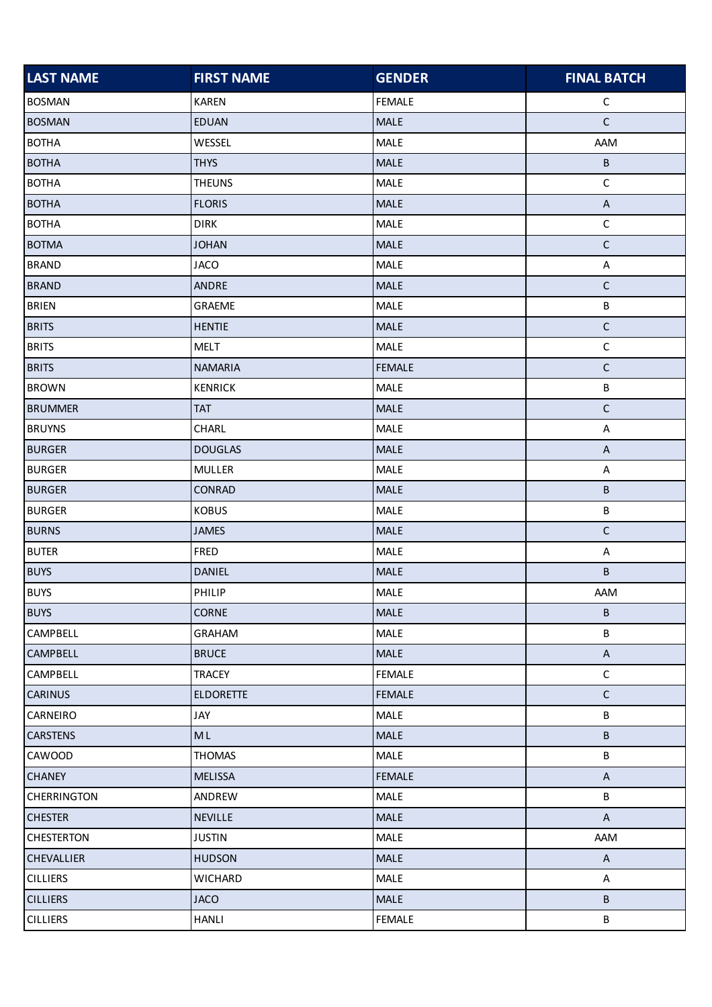| <b>LAST NAME</b>   | <b>FIRST NAME</b> | <b>GENDER</b> | <b>FINAL BATCH</b>        |
|--------------------|-------------------|---------------|---------------------------|
| <b>BOSMAN</b>      | <b>KAREN</b>      | <b>FEMALE</b> | $\mathsf C$               |
| <b>BOSMAN</b>      | <b>EDUAN</b>      | MALE          | $\mathsf C$               |
| <b>BOTHA</b>       | WESSEL            | MALE          | AAM                       |
| <b>BOTHA</b>       | <b>THYS</b>       | MALE          | B                         |
| <b>BOTHA</b>       | <b>THEUNS</b>     | MALE          | $\mathsf C$               |
| <b>BOTHA</b>       | <b>FLORIS</b>     | MALE          | $\sf A$                   |
| <b>BOTHA</b>       | <b>DIRK</b>       | MALE          | $\mathsf C$               |
| <b>BOTMA</b>       | <b>JOHAN</b>      | <b>MALE</b>   | $\mathsf C$               |
| <b>BRAND</b>       | <b>JACO</b>       | MALE          | A                         |
| <b>BRAND</b>       | ANDRE             | MALE          | $\mathsf C$               |
| <b>BRIEN</b>       | <b>GRAEME</b>     | MALE          | B                         |
| <b>BRITS</b>       | <b>HENTIE</b>     | MALE          | $\mathsf C$               |
| <b>BRITS</b>       | <b>MELT</b>       | MALE          | $\mathsf C$               |
| <b>BRITS</b>       | <b>NAMARIA</b>    | <b>FEMALE</b> | $\mathsf C$               |
| <b>BROWN</b>       | <b>KENRICK</b>    | MALE          | $\sf B$                   |
| <b>BRUMMER</b>     | <b>TAT</b>        | <b>MALE</b>   | $\mathsf C$               |
| <b>BRUYNS</b>      | CHARL             | MALE          | $\mathsf A$               |
| <b>BURGER</b>      | <b>DOUGLAS</b>    | MALE          | $\sf A$                   |
| <b>BURGER</b>      | <b>MULLER</b>     | MALE          | A                         |
| <b>BURGER</b>      | CONRAD            | MALE          | B                         |
| <b>BURGER</b>      | <b>KOBUS</b>      | MALE          | B                         |
| <b>BURNS</b>       | <b>JAMES</b>      | MALE          | $\mathsf C$               |
| <b>BUTER</b>       | FRED              | MALE          | A                         |
| <b>BUYS</b>        | <b>DANIEL</b>     | MALE          | B                         |
| <b>BUYS</b>        | PHILIP            | MALE          | AAM                       |
| <b>BUYS</b>        | <b>CORNE</b>      | MALE          | В                         |
| <b>CAMPBELL</b>    | GRAHAM            | MALE          | B                         |
| <b>CAMPBELL</b>    | <b>BRUCE</b>      | <b>MALE</b>   | $\boldsymbol{\mathsf{A}}$ |
| CAMPBELL           | <b>TRACEY</b>     | <b>FEMALE</b> | $\mathsf C$               |
| <b>CARINUS</b>     | <b>ELDORETTE</b>  | <b>FEMALE</b> | $\mathsf C$               |
| <b>CARNEIRO</b>    | JAY               | <b>MALE</b>   | B                         |
| <b>CARSTENS</b>    | <b>ML</b>         | MALE          | B                         |
| CAWOOD             | <b>THOMAS</b>     | <b>MALE</b>   | B                         |
| <b>CHANEY</b>      | <b>MELISSA</b>    | <b>FEMALE</b> | $\mathsf{A}$              |
| <b>CHERRINGTON</b> | ANDREW            | <b>MALE</b>   | B                         |
| <b>CHESTER</b>     | <b>NEVILLE</b>    | <b>MALE</b>   | $\mathsf{A}$              |
| <b>CHESTERTON</b>  | <b>JUSTIN</b>     | <b>MALE</b>   | <b>AAM</b>                |
| <b>CHEVALLIER</b>  | <b>HUDSON</b>     | MALE          | $\boldsymbol{\mathsf{A}}$ |
| <b>CILLIERS</b>    | <b>WICHARD</b>    | <b>MALE</b>   | A                         |
| <b>CILLIERS</b>    | <b>JACO</b>       | <b>MALE</b>   | B                         |
| <b>CILLIERS</b>    | <b>HANLI</b>      | <b>FEMALE</b> | B                         |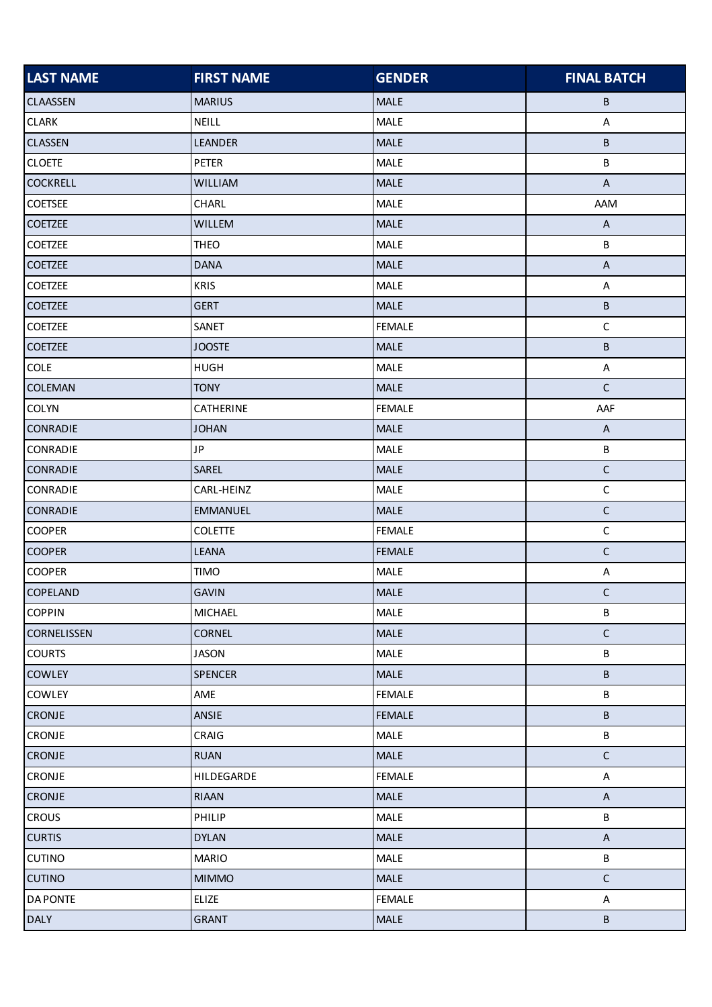| <b>LAST NAME</b>   | <b>FIRST NAME</b> | <b>GENDER</b> | <b>FINAL BATCH</b>        |
|--------------------|-------------------|---------------|---------------------------|
| <b>CLAASSEN</b>    | <b>MARIUS</b>     | <b>MALE</b>   | В                         |
| <b>CLARK</b>       | NEILL             | MALE          | A                         |
| <b>CLASSEN</b>     | LEANDER           | MALE          | B                         |
| <b>CLOETE</b>      | PETER             | MALE          | B                         |
| <b>COCKRELL</b>    | <b>WILLIAM</b>    | MALE          | $\boldsymbol{\mathsf{A}}$ |
| <b>COETSEE</b>     | CHARL             | MALE          | AAM                       |
| <b>COETZEE</b>     | WILLEM            | <b>MALE</b>   | $\mathsf{A}$              |
| COETZEE            | <b>THEO</b>       | MALE          | B                         |
| <b>COETZEE</b>     | <b>DANA</b>       | <b>MALE</b>   | $\boldsymbol{\mathsf{A}}$ |
| <b>COETZEE</b>     | <b>KRIS</b>       | MALE          | A                         |
| <b>COETZEE</b>     | <b>GERT</b>       | MALE          | B                         |
| <b>COETZEE</b>     | SANET             | <b>FEMALE</b> | $\mathsf C$               |
| <b>COETZEE</b>     | <b>JOOSTE</b>     | <b>MALE</b>   | B                         |
| COLE               | <b>HUGH</b>       | MALE          | A                         |
| <b>COLEMAN</b>     | <b>TONY</b>       | <b>MALE</b>   | $\mathsf C$               |
| <b>COLYN</b>       | CATHERINE         | <b>FEMALE</b> | AAF                       |
| <b>CONRADIE</b>    | <b>JOHAN</b>      | MALE          | $\boldsymbol{\mathsf{A}}$ |
| CONRADIE           | <b>JP</b>         | MALE          | B                         |
| <b>CONRADIE</b>    | SAREL             | <b>MALE</b>   | $\mathsf C$               |
| CONRADIE           | CARL-HEINZ        | MALE          | $\mathsf C$               |
| <b>CONRADIE</b>    | <b>EMMANUEL</b>   | <b>MALE</b>   | $\mathsf C$               |
| <b>COOPER</b>      | <b>COLETTE</b>    | <b>FEMALE</b> | $\mathsf C$               |
| <b>COOPER</b>      | <b>LEANA</b>      | <b>FEMALE</b> | $\mathsf C$               |
| <b>COOPER</b>      | <b>TIMO</b>       | MALE          | A                         |
| <b>COPELAND</b>    | <b>GAVIN</b>      | <b>MALE</b>   | $\mathsf C$               |
| <b>COPPIN</b>      | MICHAEL           | MALE          | B                         |
| <b>CORNELISSEN</b> | <b>CORNEL</b>     | MALE          | $\mathsf C$               |
| <b>COURTS</b>      | <b>JASON</b>      | MALE          | B                         |
| <b>COWLEY</b>      | <b>SPENCER</b>    | <b>MALE</b>   | B                         |
| <b>COWLEY</b>      | AME               | <b>FEMALE</b> | B                         |
| <b>CRONJE</b>      | ANSIE             | <b>FEMALE</b> | B                         |
| CRONJE             | CRAIG             | <b>MALE</b>   | B                         |
| <b>CRONJE</b>      | <b>RUAN</b>       | MALE          | $\mathsf C$               |
| CRONJE             | HILDEGARDE        | <b>FEMALE</b> | A                         |
| <b>CRONJE</b>      | RIAAN             | <b>MALE</b>   | $\boldsymbol{\mathsf{A}}$ |
| <b>CROUS</b>       | PHILIP            | <b>MALE</b>   | B                         |
| <b>CURTIS</b>      | <b>DYLAN</b>      | MALE          | $\sf A$                   |
| <b>CUTINO</b>      | <b>MARIO</b>      | MALE          | B                         |
| <b>CUTINO</b>      | <b>MIMMO</b>      | <b>MALE</b>   | $\mathsf C$               |
| <b>DA PONTE</b>    | ELIZE             | <b>FEMALE</b> | A                         |
| <b>DALY</b>        | <b>GRANT</b>      | <b>MALE</b>   | $\sf B$                   |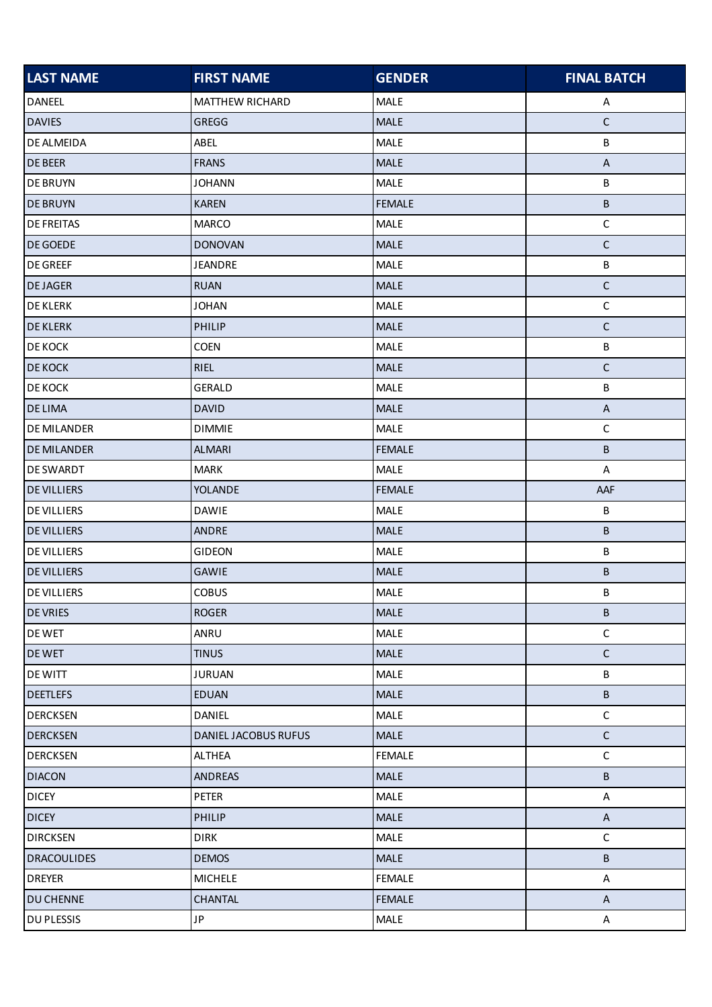| <b>LAST NAME</b>   | <b>FIRST NAME</b>           | <b>GENDER</b> | <b>FINAL BATCH</b>        |
|--------------------|-----------------------------|---------------|---------------------------|
| DANEEL             | MATTHEW RICHARD             | MALE          | Α                         |
| <b>DAVIES</b>      | GREGG                       | <b>MALE</b>   | $\mathsf C$               |
| <b>DE ALMEIDA</b>  | ABEL                        | MALE          | B                         |
| <b>DE BEER</b>     | <b>FRANS</b>                | MALE          | $\boldsymbol{\mathsf{A}}$ |
| <b>DE BRUYN</b>    | <b>JOHANN</b>               | <b>MALE</b>   | B                         |
| <b>DE BRUYN</b>    | <b>KAREN</b>                | <b>FEMALE</b> | B                         |
| <b>DE FREITAS</b>  | <b>MARCO</b>                | MALE          | $\mathsf C$               |
| <b>DE GOEDE</b>    | <b>DONOVAN</b>              | <b>MALE</b>   | $\mathsf C$               |
| <b>DE GREEF</b>    | <b>JEANDRE</b>              | MALE          | В                         |
| <b>DEJAGER</b>     | <b>RUAN</b>                 | MALE          | $\mathsf C$               |
| <b>DE KLERK</b>    | <b>JOHAN</b>                | MALE          | $\mathsf C$               |
| <b>DE KLERK</b>    | <b>PHILIP</b>               | <b>MALE</b>   | $\mathsf C$               |
| <b>DE KOCK</b>     | COEN                        | MALE          | B                         |
| <b>DE KOCK</b>     | <b>RIEL</b>                 | <b>MALE</b>   | $\mathsf C$               |
| <b>DE KOCK</b>     | <b>GERALD</b>               | MALE          | B                         |
| <b>DE LIMA</b>     | <b>DAVID</b>                | <b>MALE</b>   | $\boldsymbol{\mathsf{A}}$ |
| <b>DE MILANDER</b> | <b>DIMMIE</b>               | MALE          | $\mathsf C$               |
| <b>DE MILANDER</b> | <b>ALMARI</b>               | <b>FEMALE</b> | B                         |
| <b>DE SWARDT</b>   | <b>MARK</b>                 | <b>MALE</b>   | A                         |
| <b>DE VILLIERS</b> | YOLANDE                     | <b>FEMALE</b> | AAF                       |
| <b>DE VILLIERS</b> | <b>DAWIE</b>                | MALE          | $\sf B$                   |
| <b>DE VILLIERS</b> | <b>ANDRE</b>                | <b>MALE</b>   | B                         |
| <b>DE VILLIERS</b> | <b>GIDEON</b>               | MALE          | B                         |
| <b>DE VILLIERS</b> | <b>GAWIE</b>                | MALE          | В                         |
| <b>DE VILLIERS</b> | <b>COBUS</b>                | <b>MALE</b>   | B                         |
| <b>DE VRIES</b>    | <b>ROGER</b>                | MALE          | B                         |
| DE WET             | ANRU                        | MALE          | $\mathsf C$               |
| <b>DE WET</b>      | <b>TINUS</b>                | MALE          | $\mathsf C$               |
| <b>DE WITT</b>     | <b>JURUAN</b>               | <b>MALE</b>   | B                         |
| <b>DEETLEFS</b>    | <b>EDUAN</b>                | <b>MALE</b>   | B                         |
| <b>DERCKSEN</b>    | DANIEL                      | MALE          | $\mathsf C$               |
| <b>DERCKSEN</b>    | <b>DANIEL JACOBUS RUFUS</b> | <b>MALE</b>   | $\mathsf C$               |
| <b>DERCKSEN</b>    | <b>ALTHEA</b>               | <b>FEMALE</b> | $\mathsf C$               |
| <b>DIACON</b>      | <b>ANDREAS</b>              | <b>MALE</b>   | B                         |
| <b>DICEY</b>       | PETER                       | MALE          | A                         |
| <b>DICEY</b>       | PHILIP                      | <b>MALE</b>   | $\mathsf{A}$              |
| <b>DIRCKSEN</b>    | <b>DIRK</b>                 | <b>MALE</b>   | $\mathsf C$               |
| <b>DRACOULIDES</b> | <b>DEMOS</b>                | <b>MALE</b>   | $\sf B$                   |
| <b>DREYER</b>      | <b>MICHELE</b>              | <b>FEMALE</b> | A                         |
| <b>DU CHENNE</b>   | CHANTAL                     | <b>FEMALE</b> | $\mathsf{A}$              |
| <b>DU PLESSIS</b>  | <b>JP</b>                   | <b>MALE</b>   | A                         |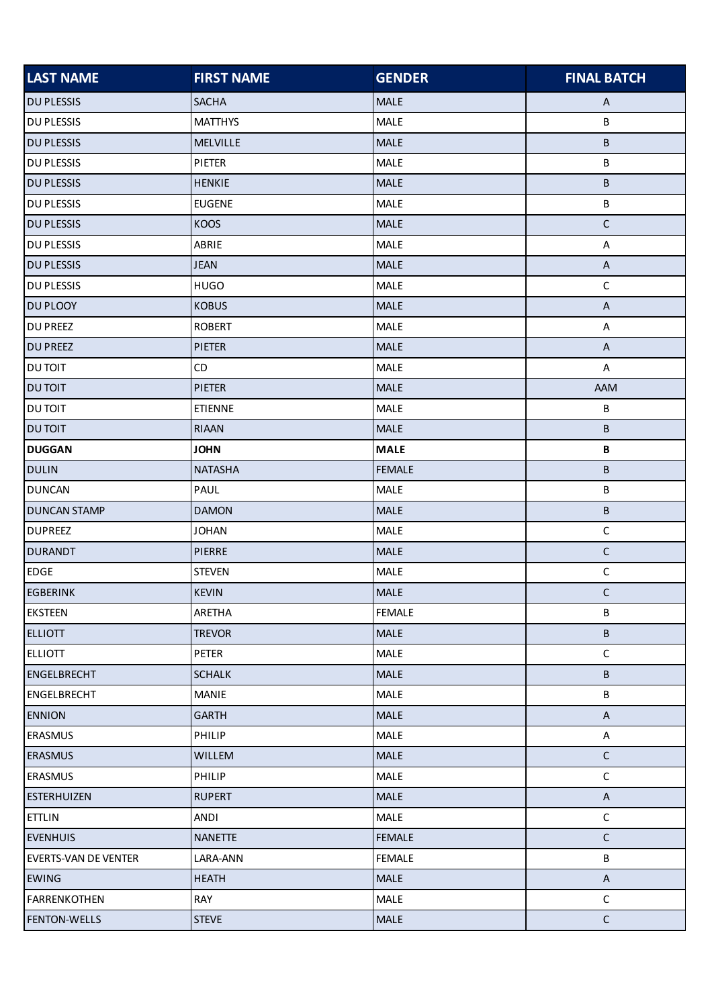| <b>LAST NAME</b>     | <b>FIRST NAME</b> | <b>GENDER</b> | <b>FINAL BATCH</b>        |
|----------------------|-------------------|---------------|---------------------------|
| <b>DU PLESSIS</b>    | <b>SACHA</b>      | <b>MALE</b>   | $\mathsf{A}$              |
| <b>DU PLESSIS</b>    | <b>MATTHYS</b>    | MALE          | В                         |
| <b>DU PLESSIS</b>    | MELVILLE          | MALE          | B                         |
| <b>DU PLESSIS</b>    | PIETER            | MALE          | B                         |
| <b>DU PLESSIS</b>    | <b>HENKIE</b>     | MALE          | B                         |
| <b>DU PLESSIS</b>    | <b>EUGENE</b>     | MALE          | В                         |
| <b>DU PLESSIS</b>    | KOOS              | <b>MALE</b>   | $\mathsf C$               |
| <b>DU PLESSIS</b>    | ABRIE             | MALE          | A                         |
| <b>DU PLESSIS</b>    | <b>JEAN</b>       | <b>MALE</b>   | $\mathsf{A}$              |
| <b>DU PLESSIS</b>    | <b>HUGO</b>       | MALE          | $\mathsf C$               |
| DU PLOOY             | <b>KOBUS</b>      | MALE          | $\sf A$                   |
| <b>DU PREEZ</b>      | <b>ROBERT</b>     | <b>MALE</b>   | A                         |
| <b>DU PREEZ</b>      | <b>PIETER</b>     | MALE          | $\boldsymbol{\mathsf{A}}$ |
| <b>DU TOIT</b>       | CD                | <b>MALE</b>   | A                         |
| <b>DU TOIT</b>       | <b>PIETER</b>     | MALE          | AAM                       |
| DU TOIT              | <b>ETIENNE</b>    | MALE          | B                         |
| <b>DU TOIT</b>       | <b>RIAAN</b>      | MALE          | B                         |
| <b>DUGGAN</b>        | <b>JOHN</b>       | <b>MALE</b>   | B                         |
| <b>DULIN</b>         | <b>NATASHA</b>    | <b>FEMALE</b> | В                         |
| <b>DUNCAN</b>        | PAUL              | MALE          | B                         |
| <b>DUNCAN STAMP</b>  | <b>DAMON</b>      | <b>MALE</b>   | B                         |
| <b>DUPREEZ</b>       | <b>JOHAN</b>      | MALE          | $\mathsf C$               |
| <b>DURANDT</b>       | <b>PIERRE</b>     | MALE          | $\mathsf C$               |
| <b>EDGE</b>          | <b>STEVEN</b>     | MALE          | $\mathsf C$               |
| <b>EGBERINK</b>      | <b>KEVIN</b>      | MALE          | $\mathsf C$               |
| <b>EKSTEEN</b>       | ARETHA            | <b>FEMALE</b> | В                         |
| <b>ELLIOTT</b>       | <b>TREVOR</b>     | <b>MALE</b>   | B                         |
| <b>ELLIOTT</b>       | PETER             | MALE          | $\mathsf C$               |
| <b>ENGELBRECHT</b>   | <b>SCHALK</b>     | <b>MALE</b>   | В                         |
| <b>ENGELBRECHT</b>   | <b>MANIE</b>      | MALE          | B                         |
| <b>ENNION</b>        | <b>GARTH</b>      | <b>MALE</b>   | $\mathsf A$               |
| <b>ERASMUS</b>       | PHILIP            | MALE          | A                         |
| <b>ERASMUS</b>       | <b>WILLEM</b>     | <b>MALE</b>   | $\mathsf C$               |
| <b>ERASMUS</b>       | PHILIP            | MALE          | $\mathsf{C}$              |
| <b>ESTERHUIZEN</b>   | <b>RUPERT</b>     | <b>MALE</b>   | $\mathsf{A}$              |
| <b>ETTLIN</b>        | ANDI              | MALE          | $\mathsf C$               |
| <b>EVENHUIS</b>      | <b>NANETTE</b>    | <b>FEMALE</b> | $\mathsf C$               |
| EVERTS-VAN DE VENTER | LARA-ANN          | <b>FEMALE</b> | B                         |
| <b>EWING</b>         | <b>HEATH</b>      | <b>MALE</b>   | $\mathsf A$               |
| <b>FARRENKOTHEN</b>  | RAY               | <b>MALE</b>   | $\mathsf C$               |
| <b>FENTON-WELLS</b>  | <b>STEVE</b>      | <b>MALE</b>   | $\mathsf{C}$              |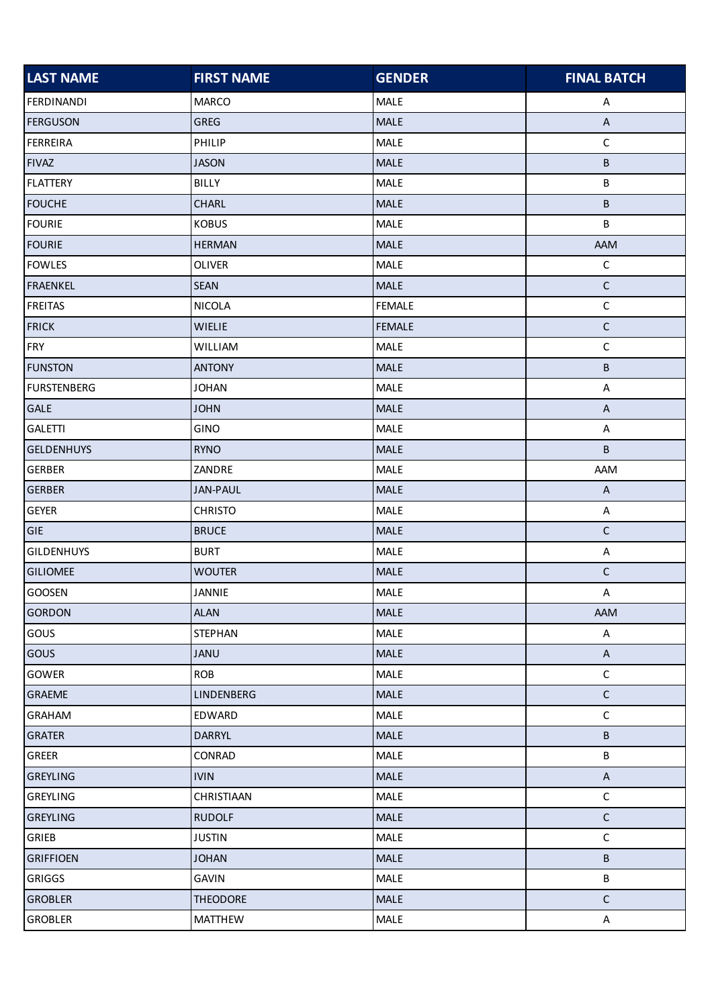| <b>LAST NAME</b>   | <b>FIRST NAME</b> | <b>GENDER</b> | <b>FINAL BATCH</b>        |
|--------------------|-------------------|---------------|---------------------------|
| <b>FERDINANDI</b>  | <b>MARCO</b>      | MALE          | A                         |
| <b>FERGUSON</b>    | <b>GREG</b>       | MALE          | $\overline{A}$            |
| <b>FERREIRA</b>    | PHILIP            | MALE          | $\mathsf C$               |
| <b>FIVAZ</b>       | <b>JASON</b>      | MALE          | B                         |
| <b>FLATTERY</b>    | BILLY             | MALE          | B                         |
| <b>FOUCHE</b>      | CHARL             | <b>MALE</b>   | B                         |
| <b>FOURIE</b>      | <b>KOBUS</b>      | MALE          | В                         |
| <b>FOURIE</b>      | <b>HERMAN</b>     | MALE          | AAM                       |
| <b>FOWLES</b>      | <b>OLIVER</b>     | MALE          | $\mathsf C$               |
| <b>FRAENKEL</b>    | <b>SEAN</b>       | <b>MALE</b>   | $\mathsf C$               |
| <b>FREITAS</b>     | <b>NICOLA</b>     | <b>FEMALE</b> | $\mathsf C$               |
| <b>FRICK</b>       | <b>WIELIE</b>     | <b>FEMALE</b> | $\mathsf C$               |
| <b>FRY</b>         | WILLIAM           | MALE          | $\mathsf C$               |
| <b>FUNSTON</b>     | <b>ANTONY</b>     | <b>MALE</b>   | B                         |
| <b>FURSTENBERG</b> | <b>JOHAN</b>      | MALE          | $\mathsf{A}$              |
| <b>GALE</b>        | <b>JOHN</b>       | <b>MALE</b>   | $\boldsymbol{\mathsf{A}}$ |
| <b>GALETTI</b>     | GINO              | MALE          | A                         |
| <b>GELDENHUYS</b>  | <b>RYNO</b>       | MALE          | B                         |
| <b>GERBER</b>      | ZANDRE            | MALE          | AAM                       |
| <b>GERBER</b>      | <b>JAN-PAUL</b>   | MALE          | $\mathsf{A}$              |
| <b>GEYER</b>       | <b>CHRISTO</b>    | MALE          | A                         |
| GIE                | <b>BRUCE</b>      | MALE          | $\mathsf C$               |
| <b>GILDENHUYS</b>  | <b>BURT</b>       | MALE          | $\mathsf{A}$              |
| <b>GILIOMEE</b>    | <b>WOUTER</b>     | MALE          | $\mathsf C$               |
| GOOSEN             | JANNIE            | MALE          | A                         |
| <b>GORDON</b>      | <b>ALAN</b>       | MALE          | AAM                       |
| GOUS               | <b>STEPHAN</b>    | MALE          | A                         |
| <b>GOUS</b>        | JANU              | MALE          | $\mathsf A$               |
| GOWER              | <b>ROB</b>        | MALE          | $\mathsf C$               |
| <b>GRAEME</b>      | LINDENBERG        | <b>MALE</b>   | $\mathsf C$               |
| GRAHAM             | EDWARD            | MALE          | $\mathsf C$               |
| <b>GRATER</b>      | <b>DARRYL</b>     | <b>MALE</b>   | B                         |
| GREER              | CONRAD            | MALE          | B                         |
| <b>GREYLING</b>    | <b>IVIN</b>       | <b>MALE</b>   | $\mathsf{A}$              |
| GREYLING           | CHRISTIAAN        | MALE          | $\mathsf C$               |
| <b>GREYLING</b>    | <b>RUDOLF</b>     | <b>MALE</b>   | $\mathsf C$               |
| GRIEB              | <b>JUSTIN</b>     | MALE          | $\mathsf C$               |
| <b>GRIFFIOEN</b>   | <b>JOHAN</b>      | <b>MALE</b>   | B                         |
| <b>GRIGGS</b>      | <b>GAVIN</b>      | MALE          | B                         |
| <b>GROBLER</b>     | <b>THEODORE</b>   | <b>MALE</b>   | $\mathsf C$               |
| GROBLER            | <b>MATTHEW</b>    | MALE          | $\mathsf{A}$              |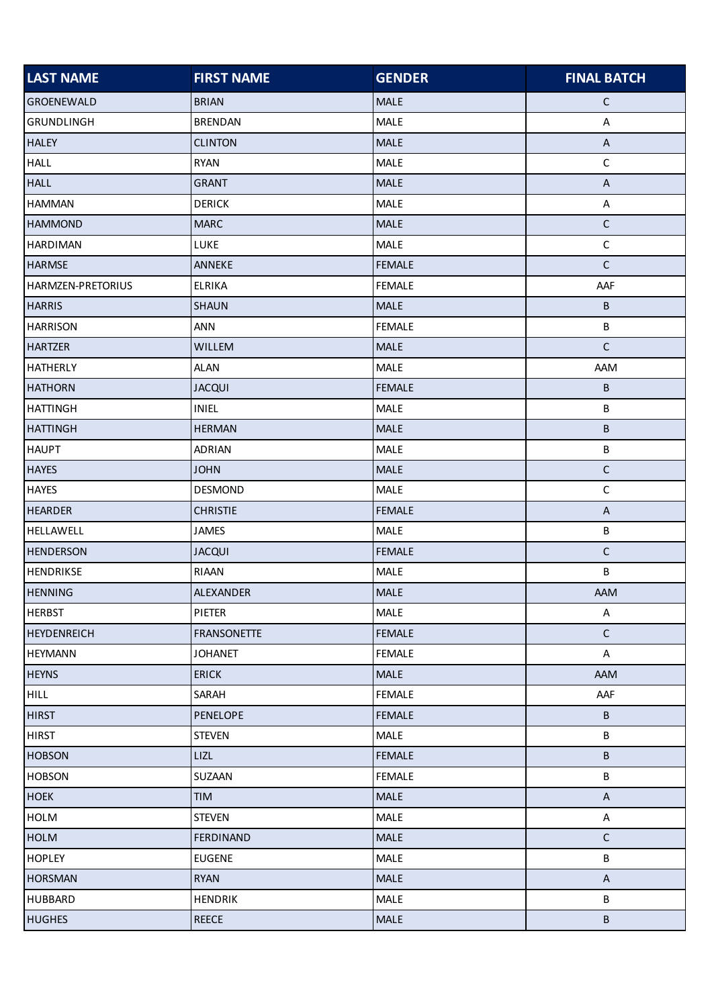| <b>LAST NAME</b>   | <b>FIRST NAME</b>  | <b>GENDER</b> | <b>FINAL BATCH</b>        |
|--------------------|--------------------|---------------|---------------------------|
| <b>GROENEWALD</b>  | <b>BRIAN</b>       | <b>MALE</b>   | $\mathsf{C}$              |
| <b>GRUNDLINGH</b>  | <b>BRENDAN</b>     | MALE          | A                         |
| <b>HALEY</b>       | <b>CLINTON</b>     | <b>MALE</b>   | $\boldsymbol{\mathsf{A}}$ |
| <b>HALL</b>        | <b>RYAN</b>        | MALE          | $\mathsf C$               |
| <b>HALL</b>        | <b>GRANT</b>       | <b>MALE</b>   | $\mathsf A$               |
| <b>HAMMAN</b>      | <b>DERICK</b>      | MALE          | $\boldsymbol{\mathsf{A}}$ |
| <b>HAMMOND</b>     | <b>MARC</b>        | <b>MALE</b>   | $\mathsf C$               |
| <b>HARDIMAN</b>    | LUKE               | MALE          | $\mathsf C$               |
| <b>HARMSE</b>      | ANNEKE             | <b>FEMALE</b> | $\mathsf C$               |
| HARMZEN-PRETORIUS  | <b>ELRIKA</b>      | <b>FEMALE</b> | AAF                       |
| <b>HARRIS</b>      | <b>SHAUN</b>       | <b>MALE</b>   | B                         |
| <b>HARRISON</b>    | <b>ANN</b>         | <b>FEMALE</b> | B                         |
| <b>HARTZER</b>     | WILLEM             | <b>MALE</b>   | $\mathsf C$               |
| <b>HATHERLY</b>    | ALAN               | MALE          | AAM                       |
| <b>HATHORN</b>     | <b>JACQUI</b>      | <b>FEMALE</b> | В                         |
| <b>HATTINGH</b>    | INIEL              | MALE          | B                         |
| <b>HATTINGH</b>    | <b>HERMAN</b>      | <b>MALE</b>   | В                         |
| <b>HAUPT</b>       | <b>ADRIAN</b>      | MALE          | B                         |
| <b>HAYES</b>       | <b>JOHN</b>        | <b>MALE</b>   | $\mathsf C$               |
| <b>HAYES</b>       | <b>DESMOND</b>     | MALE          | $\mathsf C$               |
| <b>HEARDER</b>     | <b>CHRISTIE</b>    | <b>FEMALE</b> | $\mathsf{A}$              |
| <b>HELLAWELL</b>   | <b>JAMES</b>       | MALE          | B                         |
| <b>HENDERSON</b>   | <b>JACQUI</b>      | <b>FEMALE</b> | $\mathsf C$               |
| HENDRIKSE          | RIAAN              | MALE          | B                         |
| <b>HENNING</b>     | ALEXANDER          | MALE          | AAM                       |
| <b>HERBST</b>      | PIETER             | <b>MALE</b>   | A                         |
| <b>HEYDENREICH</b> | <b>FRANSONETTE</b> | <b>FEMALE</b> | $\mathsf C$               |
| <b>HEYMANN</b>     | <b>JOHANET</b>     | <b>FEMALE</b> | A                         |
| <b>HEYNS</b>       | <b>ERICK</b>       | <b>MALE</b>   | AAM                       |
| <b>HILL</b>        | SARAH              | <b>FEMALE</b> | AAF                       |
| <b>HIRST</b>       | PENELOPE           | <b>FEMALE</b> | B                         |
| <b>HIRST</b>       | <b>STEVEN</b>      | MALE          | B                         |
| <b>HOBSON</b>      | LIZL               | <b>FEMALE</b> | B                         |
| <b>HOBSON</b>      | SUZAAN             | <b>FEMALE</b> | B                         |
| <b>HOEK</b>        | <b>TIM</b>         | <b>MALE</b>   | $\boldsymbol{\mathsf{A}}$ |
| <b>HOLM</b>        | <b>STEVEN</b>      | MALE          | A                         |
| <b>HOLM</b>        | FERDINAND          | <b>MALE</b>   | $\mathsf C$               |
| <b>HOPLEY</b>      | <b>EUGENE</b>      | MALE          | B                         |
| <b>HORSMAN</b>     | <b>RYAN</b>        | MALE          | $\sf A$                   |
| <b>HUBBARD</b>     | <b>HENDRIK</b>     | MALE          | В                         |
| <b>HUGHES</b>      | <b>REECE</b>       | <b>MALE</b>   | $\sf B$                   |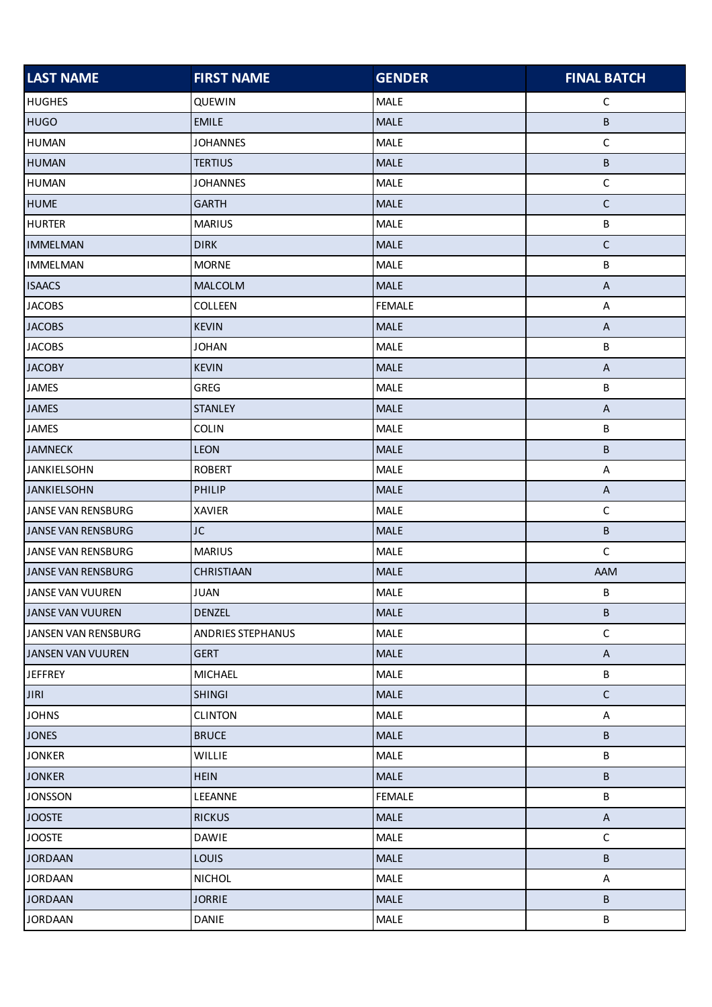| <b>LAST NAME</b>          | <b>FIRST NAME</b> | <b>GENDER</b> | <b>FINAL BATCH</b>        |
|---------------------------|-------------------|---------------|---------------------------|
| <b>HUGHES</b>             | QUEWIN            | MALE          | $\mathsf C$               |
| <b>HUGO</b>               | <b>EMILE</b>      | <b>MALE</b>   | В                         |
| <b>HUMAN</b>              | <b>JOHANNES</b>   | MALE          | $\mathsf C$               |
| <b>HUMAN</b>              | <b>TERTIUS</b>    | MALE          | B                         |
| <b>HUMAN</b>              | <b>JOHANNES</b>   | <b>MALE</b>   | $\mathsf C$               |
| <b>HUME</b>               | <b>GARTH</b>      | <b>MALE</b>   | $\mathsf C$               |
| <b>HURTER</b>             | <b>MARIUS</b>     | <b>MALE</b>   | B                         |
| <b>IMMELMAN</b>           | <b>DIRK</b>       | <b>MALE</b>   | $\mathsf C$               |
| <b>IMMELMAN</b>           | <b>MORNE</b>      | MALE          | B                         |
| <b>ISAACS</b>             | MALCOLM           | <b>MALE</b>   | $\boldsymbol{\mathsf{A}}$ |
| <b>JACOBS</b>             | COLLEEN           | <b>FEMALE</b> | $\mathsf A$               |
| <b>JACOBS</b>             | <b>KEVIN</b>      | <b>MALE</b>   | $\mathsf A$               |
| <b>JACOBS</b>             | <b>JOHAN</b>      | MALE          | B                         |
| <b>JACOBY</b>             | <b>KEVIN</b>      | <b>MALE</b>   | $\boldsymbol{\mathsf{A}}$ |
| <b>JAMES</b>              | <b>GREG</b>       | MALE          | B                         |
| <b>JAMES</b>              | <b>STANLEY</b>    | <b>MALE</b>   | $\boldsymbol{\mathsf{A}}$ |
| <b>JAMES</b>              | <b>COLIN</b>      | MALE          | В                         |
| <b>JAMNECK</b>            | LEON              | MALE          | B                         |
| <b>JANKIELSOHN</b>        | <b>ROBERT</b>     | MALE          | $\mathsf{A}$              |
| <b>JANKIELSOHN</b>        | <b>PHILIP</b>     | <b>MALE</b>   | $\mathsf{A}$              |
| JANSE VAN RENSBURG        | <b>XAVIER</b>     | <b>MALE</b>   | $\mathsf C$               |
| <b>JANSE VAN RENSBURG</b> | JC                | <b>MALE</b>   | B                         |
| JANSE VAN RENSBURG        | <b>MARIUS</b>     | MALE          | $\mathsf C$               |
| JANSE VAN RENSBURG        | CHRISTIAAN        | MALE          | AAM                       |
| JANSE VAN VUUREN          | <b>JUAN</b>       | <b>MALE</b>   | В                         |
| <b>JANSE VAN VUUREN</b>   | <b>DENZEL</b>     | <b>MALE</b>   | B                         |
| JANSEN VAN RENSBURG       | ANDRIES STEPHANUS | MALE          | $\mathsf C$               |
| <b>JANSEN VAN VUUREN</b>  | <b>GERT</b>       | <b>MALE</b>   | $\boldsymbol{\mathsf{A}}$ |
| <b>JEFFREY</b>            | <b>MICHAEL</b>    | MALE          | B                         |
| <b>JIRI</b>               | <b>SHINGI</b>     | <b>MALE</b>   | $\mathsf C$               |
| <b>JOHNS</b>              | <b>CLINTON</b>    | MALE          | $\mathsf{A}$              |
| <b>JONES</b>              | <b>BRUCE</b>      | <b>MALE</b>   | B                         |
| <b>JONKER</b>             | WILLIE            | MALE          | B                         |
| <b>JONKER</b>             | <b>HEIN</b>       | <b>MALE</b>   | B                         |
| <b>JONSSON</b>            | LEEANNE           | <b>FEMALE</b> | B                         |
| <b>JOOSTE</b>             | <b>RICKUS</b>     | <b>MALE</b>   | $\mathsf{A}$              |
| <b>JOOSTE</b>             | <b>DAWIE</b>      | MALE          | $\mathsf C$               |
| <b>JORDAAN</b>            | <b>LOUIS</b>      | <b>MALE</b>   | B                         |
| <b>JORDAAN</b>            | <b>NICHOL</b>     | MALE          | A                         |
| <b>JORDAAN</b>            | <b>JORRIE</b>     | <b>MALE</b>   | В                         |
| <b>JORDAAN</b>            | DANIE             | MALE          | B                         |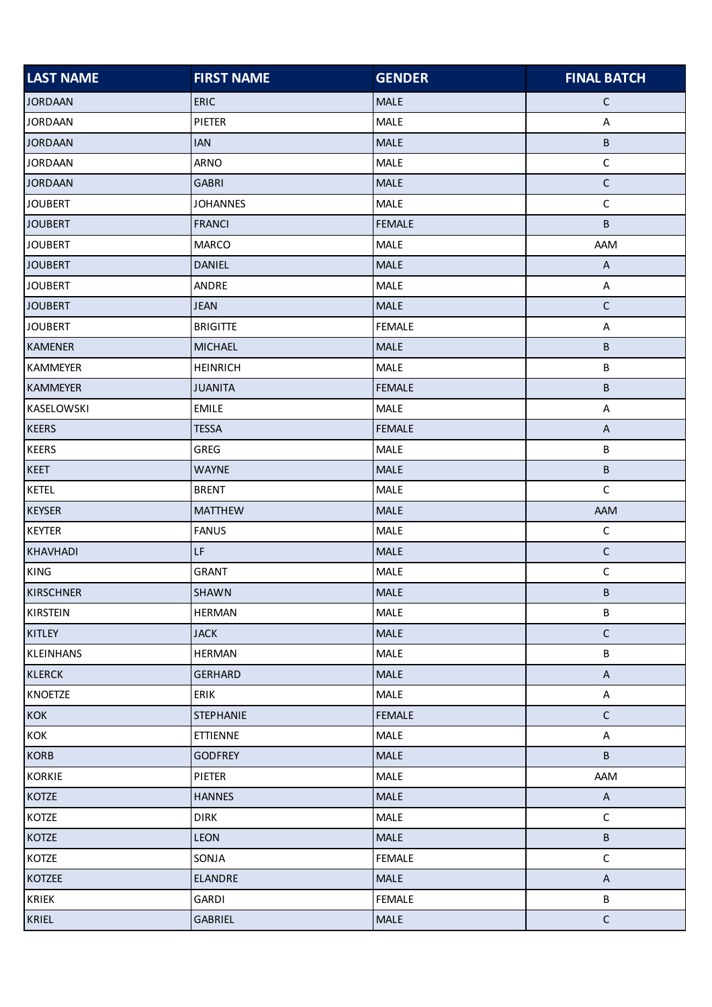| <b>LAST NAME</b> | <b>FIRST NAME</b> | <b>GENDER</b> | <b>FINAL BATCH</b>        |
|------------------|-------------------|---------------|---------------------------|
| <b>JORDAAN</b>   | <b>ERIC</b>       | <b>MALE</b>   | $\mathsf{C}$              |
| <b>JORDAAN</b>   | PIETER            | MALE          | A                         |
| <b>JORDAAN</b>   | <b>IAN</b>        | <b>MALE</b>   | $\sf B$                   |
| <b>JORDAAN</b>   | ARNO              | MALE          | $\mathsf C$               |
| <b>JORDAAN</b>   | <b>GABRI</b>      | <b>MALE</b>   | $\mathsf C$               |
| <b>JOUBERT</b>   | <b>JOHANNES</b>   | MALE          | $\mathsf C$               |
| <b>JOUBERT</b>   | <b>FRANCI</b>     | <b>FEMALE</b> | B                         |
| <b>JOUBERT</b>   | <b>MARCO</b>      | MALE          | AAM                       |
| <b>JOUBERT</b>   | <b>DANIEL</b>     | <b>MALE</b>   | $\boldsymbol{\mathsf{A}}$ |
| <b>JOUBERT</b>   | ANDRE             | MALE          | A                         |
| <b>JOUBERT</b>   | <b>JEAN</b>       | <b>MALE</b>   | $\mathsf C$               |
| <b>JOUBERT</b>   | <b>BRIGITTE</b>   | <b>FEMALE</b> | A                         |
| <b>KAMENER</b>   | <b>MICHAEL</b>    | <b>MALE</b>   | $\sf B$                   |
| <b>KAMMEYER</b>  | <b>HEINRICH</b>   | <b>MALE</b>   | $\sf B$                   |
| <b>KAMMEYER</b>  | <b>JUANITA</b>    | <b>FEMALE</b> | $\sf B$                   |
| KASELOWSKI       | <b>EMILE</b>      | MALE          | A                         |
| <b>KEERS</b>     | <b>TESSA</b>      | <b>FEMALE</b> | $\boldsymbol{\mathsf{A}}$ |
| <b>KEERS</b>     | GREG              | MALE          | B                         |
| <b>KEET</b>      | <b>WAYNE</b>      | <b>MALE</b>   | $\sf B$                   |
| <b>KETEL</b>     | <b>BRENT</b>      | MALE          | $\mathsf C$               |
| <b>KEYSER</b>    | <b>MATTHEW</b>    | <b>MALE</b>   | AAM                       |
| <b>KEYTER</b>    | <b>FANUS</b>      | MALE          | $\mathsf C$               |
| <b>KHAVHADI</b>  | LF.               | <b>MALE</b>   | $\mathsf C$               |
| <b>KING</b>      | <b>GRANT</b>      | MALE          | $\mathsf C$               |
| <b>KIRSCHNER</b> | <b>SHAWN</b>      | <b>MALE</b>   | $\sf B$                   |
| KIRSTEIN         | <b>HERMAN</b>     | MALE          | $\sf B$                   |
| KITLEY           | <b>JACK</b>       | MALE          | $\mathsf C$               |
| <b>KLEINHANS</b> | <b>HERMAN</b>     | MALE          | $\sf B$                   |
| <b>KLERCK</b>    | <b>GERHARD</b>    | <b>MALE</b>   | $\boldsymbol{\mathsf{A}}$ |
| <b>KNOETZE</b>   | ERIK              | MALE          | A                         |
| <b>KOK</b>       | <b>STEPHANIE</b>  | <b>FEMALE</b> | $\mathsf C$               |
| KOK              | <b>ETTIENNE</b>   | MALE          | $\mathsf A$               |
| <b>KORB</b>      | <b>GODFREY</b>    | <b>MALE</b>   | $\sf B$                   |
| <b>KORKIE</b>    | PIETER            | MALE          | AAM                       |
| <b>KOTZE</b>     | <b>HANNES</b>     | <b>MALE</b>   | $\overline{A}$            |
| KOTZE            | <b>DIRK</b>       | MALE          | $\mathsf C$               |
| <b>KOTZE</b>     | LEON              | <b>MALE</b>   | $\sf B$                   |
| KOTZE            | SONJA             | <b>FEMALE</b> | $\mathsf C$               |
| KOTZEE           | <b>ELANDRE</b>    | <b>MALE</b>   | $\boldsymbol{\mathsf{A}}$ |
| <b>KRIEK</b>     | <b>GARDI</b>      | <b>FEMALE</b> | $\sf B$                   |
| <b>KRIEL</b>     | <b>GABRIEL</b>    | <b>MALE</b>   | $\mathsf C$               |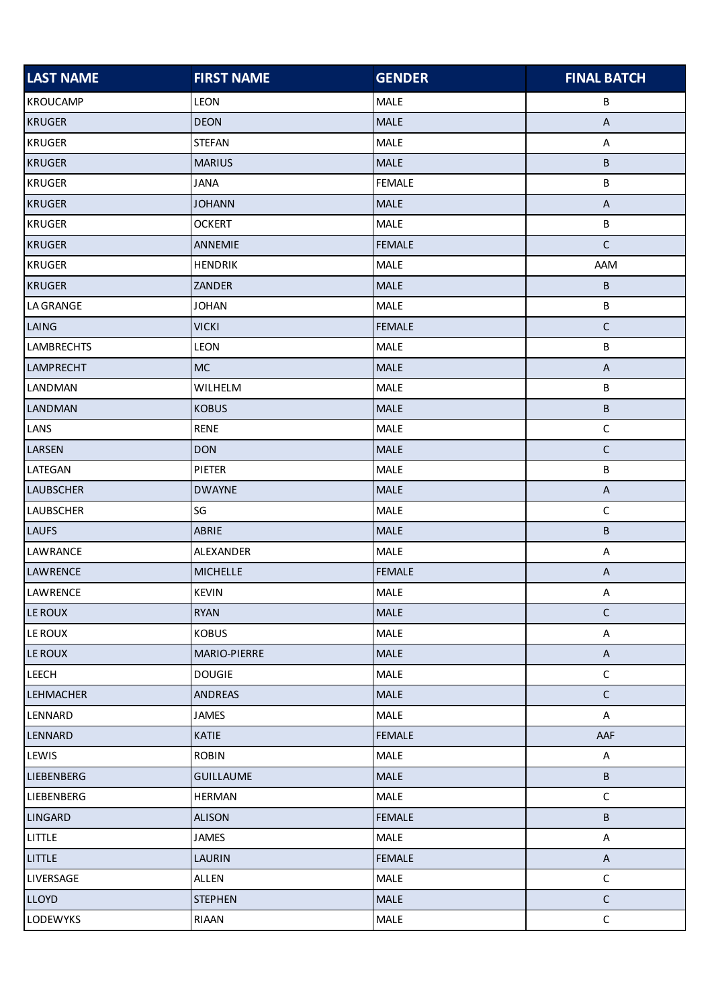| <b>LAST NAME</b>  | <b>FIRST NAME</b> | <b>GENDER</b> | <b>FINAL BATCH</b>        |
|-------------------|-------------------|---------------|---------------------------|
| <b>KROUCAMP</b>   | LEON              | MALE          | В                         |
| <b>KRUGER</b>     | <b>DEON</b>       | MALE          | $\boldsymbol{\mathsf{A}}$ |
| <b>KRUGER</b>     | <b>STEFAN</b>     | MALE          | $\mathsf A$               |
| <b>KRUGER</b>     | <b>MARIUS</b>     | MALE          | B                         |
| <b>KRUGER</b>     | <b>JANA</b>       | <b>FEMALE</b> | B                         |
| <b>KRUGER</b>     | <b>JOHANN</b>     | <b>MALE</b>   | $\boldsymbol{\mathsf{A}}$ |
| <b>KRUGER</b>     | <b>OCKERT</b>     | <b>MALE</b>   | $\sf B$                   |
| <b>KRUGER</b>     | ANNEMIE           | <b>FEMALE</b> | $\mathsf C$               |
| <b>KRUGER</b>     | <b>HENDRIK</b>    | MALE          | AAM                       |
| <b>KRUGER</b>     | ZANDER            | MALE          | B                         |
| <b>LA GRANGE</b>  | <b>JOHAN</b>      | MALE          | B                         |
| LAING             | <b>VICKI</b>      | <b>FEMALE</b> | $\mathsf C$               |
| <b>LAMBRECHTS</b> | LEON              | MALE          | B                         |
| <b>LAMPRECHT</b>  | <b>MC</b>         | <b>MALE</b>   | $\boldsymbol{\mathsf{A}}$ |
| LANDMAN           | WILHELM           | MALE          | B                         |
| LANDMAN           | <b>KOBUS</b>      | <b>MALE</b>   | B                         |
| LANS              | <b>RENE</b>       | MALE          | $\mathsf C$               |
| LARSEN            | <b>DON</b>        | MALE          | $\mathsf C$               |
| LATEGAN           | PIETER            | MALE          | В                         |
| <b>LAUBSCHER</b>  | <b>DWAYNE</b>     | <b>MALE</b>   | $\boldsymbol{\mathsf{A}}$ |
| <b>LAUBSCHER</b>  | SG                | MALE          | $\mathsf C$               |
| <b>LAUFS</b>      | ABRIE             | <b>MALE</b>   | B                         |
| LAWRANCE          | ALEXANDER         | MALE          | $\boldsymbol{\mathsf{A}}$ |
| LAWRENCE          | <b>MICHELLE</b>   | <b>FEMALE</b> | $\sf A$                   |
| LAWRENCE          | <b>KEVIN</b>      | <b>MALE</b>   | $\boldsymbol{\mathsf{A}}$ |
| <b>LE ROUX</b>    | <b>RYAN</b>       | MALE          | $\mathsf C$               |
| <b>LE ROUX</b>    | <b>KOBUS</b>      | MALE          | A                         |
| <b>LE ROUX</b>    | MARIO-PIERRE      | MALE          | $\boldsymbol{\mathsf{A}}$ |
| <b>LEECH</b>      | <b>DOUGIE</b>     | MALE          | $\mathsf C$               |
| <b>LEHMACHER</b>  | <b>ANDREAS</b>    | <b>MALE</b>   | $\mathsf C$               |
| LENNARD           | <b>JAMES</b>      | MALE          | $\boldsymbol{\mathsf{A}}$ |
| LENNARD           | <b>KATIE</b>      | <b>FEMALE</b> | AAF                       |
| LEWIS             | <b>ROBIN</b>      | MALE          | A                         |
| <b>LIEBENBERG</b> | <b>GUILLAUME</b>  | <b>MALE</b>   | В                         |
| LIEBENBERG        | <b>HERMAN</b>     | MALE          | $\mathsf C$               |
| LINGARD           | <b>ALISON</b>     | <b>FEMALE</b> | В                         |
| LITTLE            | <b>JAMES</b>      | <b>MALE</b>   | A                         |
| LITTLE            | <b>LAURIN</b>     | <b>FEMALE</b> | $\sf A$                   |
| LIVERSAGE         | ALLEN             | MALE          | $\mathsf C$               |
| <b>LLOYD</b>      | <b>STEPHEN</b>    | <b>MALE</b>   | $\mathsf C$               |
| LODEWYKS          | RIAAN             | <b>MALE</b>   | $\mathsf C$               |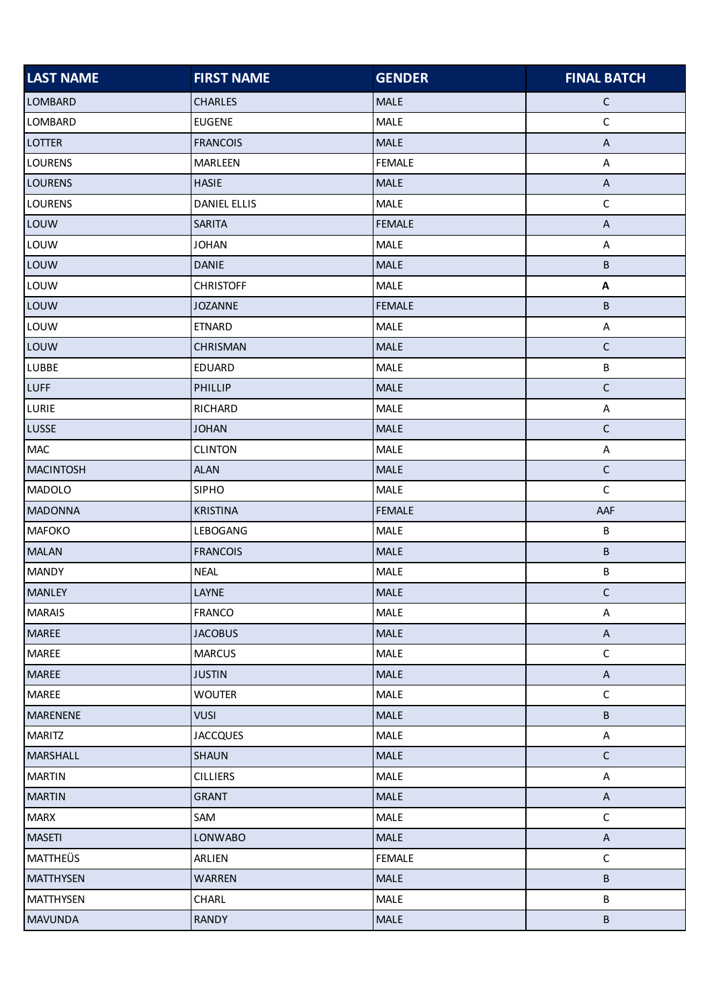| <b>LAST NAME</b> | <b>FIRST NAME</b>   | <b>GENDER</b> | <b>FINAL BATCH</b>        |
|------------------|---------------------|---------------|---------------------------|
| <b>LOMBARD</b>   | <b>CHARLES</b>      | <b>MALE</b>   | $\mathsf C$               |
| LOMBARD          | <b>EUGENE</b>       | MALE          | $\mathsf C$               |
| <b>LOTTER</b>    | <b>FRANCOIS</b>     | MALE          | $\boldsymbol{\mathsf{A}}$ |
| <b>LOURENS</b>   | MARLEEN             | <b>FEMALE</b> | $\boldsymbol{\mathsf{A}}$ |
| <b>LOURENS</b>   | <b>HASIE</b>        | MALE          | $\boldsymbol{\mathsf{A}}$ |
| <b>LOURENS</b>   | <b>DANIEL ELLIS</b> | MALE          | $\mathsf C$               |
| LOUW             | <b>SARITA</b>       | <b>FEMALE</b> | A                         |
| LOUW             | <b>JOHAN</b>        | MALE          | $\boldsymbol{\mathsf{A}}$ |
| LOUW             | <b>DANIE</b>        | <b>MALE</b>   | В                         |
| LOUW             | <b>CHRISTOFF</b>    | MALE          | A                         |
| LOUW             | <b>JOZANNE</b>      | <b>FEMALE</b> | B                         |
| LOUW             | <b>ETNARD</b>       | MALE          | $\mathsf A$               |
| LOUW             | CHRISMAN            | MALE          | $\mathsf C$               |
| LUBBE            | EDUARD              | MALE          | B                         |
| <b>LUFF</b>      | PHILLIP             | <b>MALE</b>   | $\mathsf C$               |
| LURIE            | RICHARD             | MALE          | A                         |
| <b>LUSSE</b>     | <b>JOHAN</b>        | MALE          | $\mathsf C$               |
| <b>MAC</b>       | <b>CLINTON</b>      | MALE          | $\boldsymbol{\mathsf{A}}$ |
| <b>MACINTOSH</b> | <b>ALAN</b>         | <b>MALE</b>   | $\mathsf C$               |
| <b>MADOLO</b>    | <b>SIPHO</b>        | <b>MALE</b>   | $\mathsf C$               |
| <b>MADONNA</b>   | <b>KRISTINA</b>     | <b>FEMALE</b> | AAF                       |
| <b>MAFOKO</b>    | LEBOGANG            | MALE          | B                         |
| <b>MALAN</b>     | <b>FRANCOIS</b>     | MALE          | B                         |
| <b>MANDY</b>     | <b>NEAL</b>         | MALE          | B                         |
| <b>MANLEY</b>    | LAYNE               | <b>MALE</b>   | $\mathsf C$               |
| <b>MARAIS</b>    | <b>FRANCO</b>       | MALE          | A                         |
| <b>MAREE</b>     | <b>JACOBUS</b>      | MALE          | $\boldsymbol{\mathsf{A}}$ |
| <b>MAREE</b>     | <b>MARCUS</b>       | MALE          | $\mathsf C$               |
| <b>MAREE</b>     | <b>JUSTIN</b>       | MALE          | $\mathsf{A}$              |
| <b>MAREE</b>     | <b>WOUTER</b>       | <b>MALE</b>   | $\mathsf C$               |
| <b>MARENENE</b>  | <b>VUSI</b>         | MALE          | B                         |
| <b>MARITZ</b>    | <b>JACCQUES</b>     | MALE          | $\boldsymbol{\mathsf{A}}$ |
| <b>MARSHALL</b>  | <b>SHAUN</b>        | MALE          | $\mathsf C$               |
| <b>MARTIN</b>    | <b>CILLIERS</b>     | MALE          | A                         |
| <b>MARTIN</b>    | <b>GRANT</b>        | MALE          | $\boldsymbol{\mathsf{A}}$ |
| <b>MARX</b>      | SAM                 | <b>MALE</b>   | $\mathsf C$               |
| <b>MASETI</b>    | <b>LONWABO</b>      | <b>MALE</b>   | $\boldsymbol{\mathsf{A}}$ |
| <b>MATTHEÜS</b>  | ARLIEN              | <b>FEMALE</b> | $\mathsf C$               |
| <b>MATTHYSEN</b> | <b>WARREN</b>       | MALE          | B                         |
| <b>MATTHYSEN</b> | CHARL               | <b>MALE</b>   | B                         |
| <b>MAVUNDA</b>   | <b>RANDY</b>        | <b>MALE</b>   | $\sf B$                   |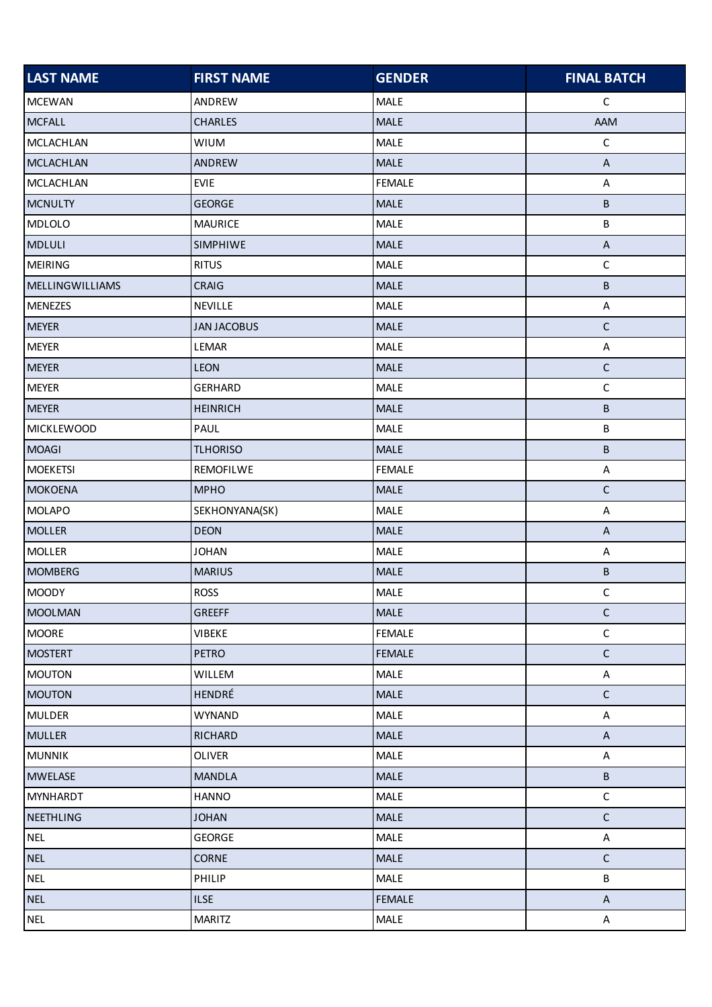| <b>LAST NAME</b>       | <b>FIRST NAME</b>  | <b>GENDER</b> | <b>FINAL BATCH</b>        |
|------------------------|--------------------|---------------|---------------------------|
| <b>MCEWAN</b>          | ANDREW             | MALE          | C                         |
| <b>MCFALL</b>          | <b>CHARLES</b>     | MALE          | AAM                       |
| <b>MCLACHLAN</b>       | <b>WIUM</b>        | MALE          | $\mathsf C$               |
| <b>MCLACHLAN</b>       | ANDREW             | MALE          | $\boldsymbol{\mathsf{A}}$ |
| <b>MCLACHLAN</b>       | <b>EVIE</b>        | <b>FEMALE</b> | $\mathsf A$               |
| <b>MCNULTY</b>         | <b>GEORGE</b>      | <b>MALE</b>   | $\sf B$                   |
| <b>MDLOLO</b>          | <b>MAURICE</b>     | <b>MALE</b>   | B                         |
| <b>MDLULI</b>          | SIMPHIWE           | MALE          | $\boldsymbol{\mathsf{A}}$ |
| <b>MEIRING</b>         | <b>RITUS</b>       | MALE          | $\mathsf C$               |
| <b>MELLINGWILLIAMS</b> | CRAIG              | MALE          | $\sf B$                   |
| <b>MENEZES</b>         | NEVILLE            | MALE          | A                         |
| <b>MEYER</b>           | <b>JAN JACOBUS</b> | MALE          | $\mathsf C$               |
| <b>MEYER</b>           | LEMAR              | MALE          | A                         |
| <b>MEYER</b>           | <b>LEON</b>        | <b>MALE</b>   | $\mathsf C$               |
| <b>MEYER</b>           | <b>GERHARD</b>     | MALE          | $\mathsf C$               |
| <b>MEYER</b>           | <b>HEINRICH</b>    | <b>MALE</b>   | $\sf B$                   |
| <b>MICKLEWOOD</b>      | PAUL               | MALE          | B                         |
| <b>MOAGI</b>           | <b>TLHORISO</b>    | MALE          | $\sf B$                   |
| <b>MOEKETSI</b>        | REMOFILWE          | <b>FEMALE</b> | A                         |
| <b>MOKOENA</b>         | <b>MPHO</b>        | <b>MALE</b>   | $\mathsf C$               |
| <b>MOLAPO</b>          | SEKHONYANA(SK)     | <b>MALE</b>   | A                         |
| <b>MOLLER</b>          | <b>DEON</b>        | MALE          | $\boldsymbol{\mathsf{A}}$ |
| <b>MOLLER</b>          | <b>JOHAN</b>       | MALE          | A                         |
| <b>MOMBERG</b>         | <b>MARIUS</b>      | MALE          | $\sf B$                   |
| <b>MOODY</b>           | <b>ROSS</b>        | MALE          | $\mathsf C$               |
| <b>MOOLMAN</b>         | GREEFF             | MALE          | $\mathsf C$               |
| <b>MOORE</b>           | VIBEKE             | <b>FEMALE</b> | $\mathsf C$               |
| <b>MOSTERT</b>         | <b>PETRO</b>       | <b>FEMALE</b> | $\mathsf C$               |
| <b>MOUTON</b>          | WILLEM             | <b>MALE</b>   | A                         |
| <b>MOUTON</b>          | HENDRÉ             | <b>MALE</b>   | $\mathsf C$               |
| <b>MULDER</b>          | <b>WYNAND</b>      | MALE          | $\mathsf A$               |
| <b>MULLER</b>          | <b>RICHARD</b>     | MALE          | $\boldsymbol{\mathsf{A}}$ |
| <b>MUNNIK</b>          | <b>OLIVER</b>      | MALE          | $\mathsf A$               |
| <b>MWELASE</b>         | <b>MANDLA</b>      | MALE          | $\sf B$                   |
| <b>MYNHARDT</b>        | <b>HANNO</b>       | MALE          | $\mathsf C$               |
| <b>NEETHLING</b>       | <b>JOHAN</b>       | MALE          | $\mathsf C$               |
| <b>NEL</b>             | <b>GEORGE</b>      | MALE          | $\mathsf A$               |
| <b>NEL</b>             | CORNE              | MALE          | $\mathsf C$               |
| <b>NEL</b>             | PHILIP             | <b>MALE</b>   | B                         |
| <b>NEL</b>             | <b>ILSE</b>        | <b>FEMALE</b> | $\boldsymbol{\mathsf{A}}$ |
| <b>NEL</b>             | <b>MARITZ</b>      | MALE          | A                         |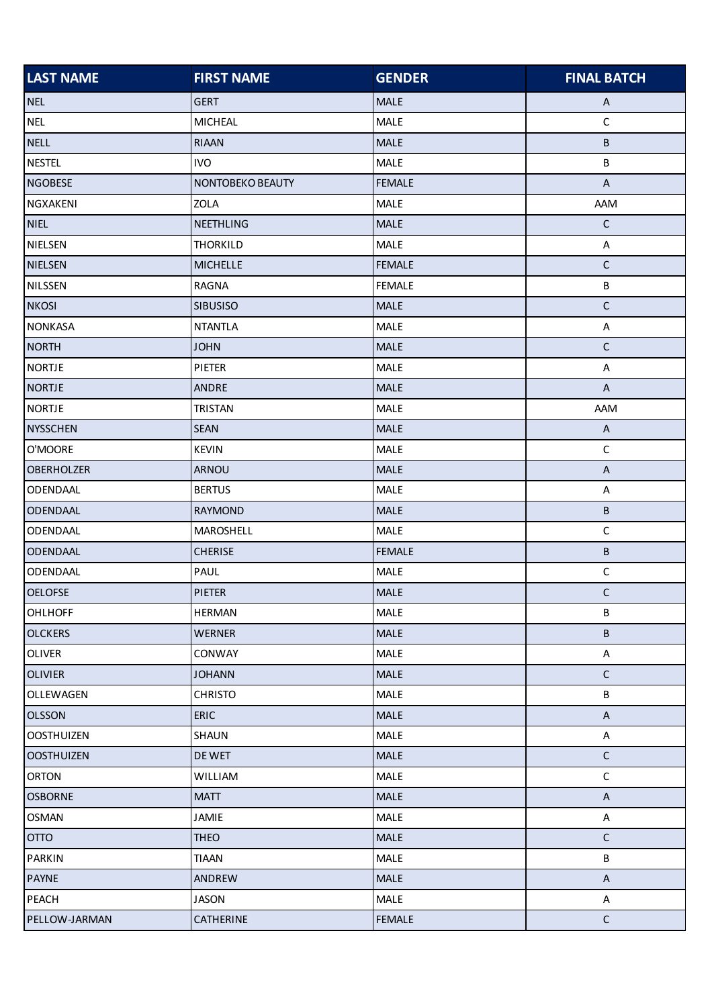| <b>LAST NAME</b>  | <b>FIRST NAME</b> | <b>GENDER</b> | <b>FINAL BATCH</b>        |
|-------------------|-------------------|---------------|---------------------------|
| <b>NEL</b>        | <b>GERT</b>       | <b>MALE</b>   | A                         |
| <b>NEL</b>        | <b>MICHEAL</b>    | MALE          | $\mathsf C$               |
| <b>NELL</b>       | <b>RIAAN</b>      | MALE          | B                         |
| <b>NESTEL</b>     | <b>IVO</b>        | MALE          | B                         |
| <b>NGOBESE</b>    | NONTOBEKO BEAUTY  | <b>FEMALE</b> | $\boldsymbol{\mathsf{A}}$ |
| NGXAKENI          | ZOLA              | MALE          | AAM                       |
| <b>NIEL</b>       | <b>NEETHLING</b>  | <b>MALE</b>   | $\mathsf{C}$              |
| <b>NIELSEN</b>    | <b>THORKILD</b>   | MALE          | A                         |
| <b>NIELSEN</b>    | <b>MICHELLE</b>   | <b>FEMALE</b> | $\mathsf C$               |
| NILSSEN           | <b>RAGNA</b>      | <b>FEMALE</b> | B                         |
| <b>NKOSI</b>      | <b>SIBUSISO</b>   | MALE          | $\mathsf C$               |
| <b>NONKASA</b>    | <b>NTANTLA</b>    | MALE          | A                         |
| <b>NORTH</b>      | <b>JOHN</b>       | MALE          | $\mathsf C$               |
| <b>NORTJE</b>     | PIETER            | MALE          | A                         |
| <b>NORTJE</b>     | <b>ANDRE</b>      | <b>MALE</b>   | $\boldsymbol{\mathsf{A}}$ |
| <b>NORTJE</b>     | <b>TRISTAN</b>    | MALE          | AAM                       |
| <b>NYSSCHEN</b>   | <b>SEAN</b>       | MALE          | $\boldsymbol{\mathsf{A}}$ |
| O'MOORE           | KEVIN             | MALE          | $\mathsf C$               |
| <b>OBERHOLZER</b> | ARNOU             | <b>MALE</b>   | A                         |
| ODENDAAL          | <b>BERTUS</b>     | MALE          | A                         |
| <b>ODENDAAL</b>   | <b>RAYMOND</b>    | MALE          | $\sf B$                   |
| ODENDAAL          | MAROSHELL         | MALE          | $\mathsf C$               |
| <b>ODENDAAL</b>   | <b>CHERISE</b>    | <b>FEMALE</b> | B                         |
| ODENDAAL          | PAUL              | MALE          | $\mathsf C$               |
| <b>OELOFSE</b>    | <b>PIETER</b>     | <b>MALE</b>   | $\mathsf C$               |
| <b>OHLHOFF</b>    | <b>HERMAN</b>     | MALE          | B                         |
| <b>OLCKERS</b>    | <b>WERNER</b>     | <b>MALE</b>   | B                         |
| <b>OLIVER</b>     | CONWAY            | MALE          | $\boldsymbol{\mathsf{A}}$ |
| <b>OLIVIER</b>    | <b>JOHANN</b>     | <b>MALE</b>   | $\mathsf C$               |
| OLLEWAGEN         | <b>CHRISTO</b>    | MALE          | B                         |
| <b>OLSSON</b>     | ERIC              | MALE          | $\boldsymbol{\mathsf{A}}$ |
| <b>OOSTHUIZEN</b> | SHAUN             | <b>MALE</b>   | A                         |
| <b>OOSTHUIZEN</b> | DE WET            | <b>MALE</b>   | $\mathsf C$               |
| <b>ORTON</b>      | WILLIAM           | MALE          | $\mathsf C$               |
| <b>OSBORNE</b>    | <b>MATT</b>       | MALE          | $\boldsymbol{\mathsf{A}}$ |
| <b>OSMAN</b>      | JAMIE             | MALE          | A                         |
| <b>OTTO</b>       | <b>THEO</b>       | MALE          | $\mathsf C$               |
| <b>PARKIN</b>     | <b>TIAAN</b>      | MALE          | B                         |
| <b>PAYNE</b>      | ANDREW            | MALE          | $\mathsf{A}$              |
| PEACH             | JASON             | <b>MALE</b>   | A                         |
| PELLOW-JARMAN     | CATHERINE         | <b>FEMALE</b> | $\mathsf C$               |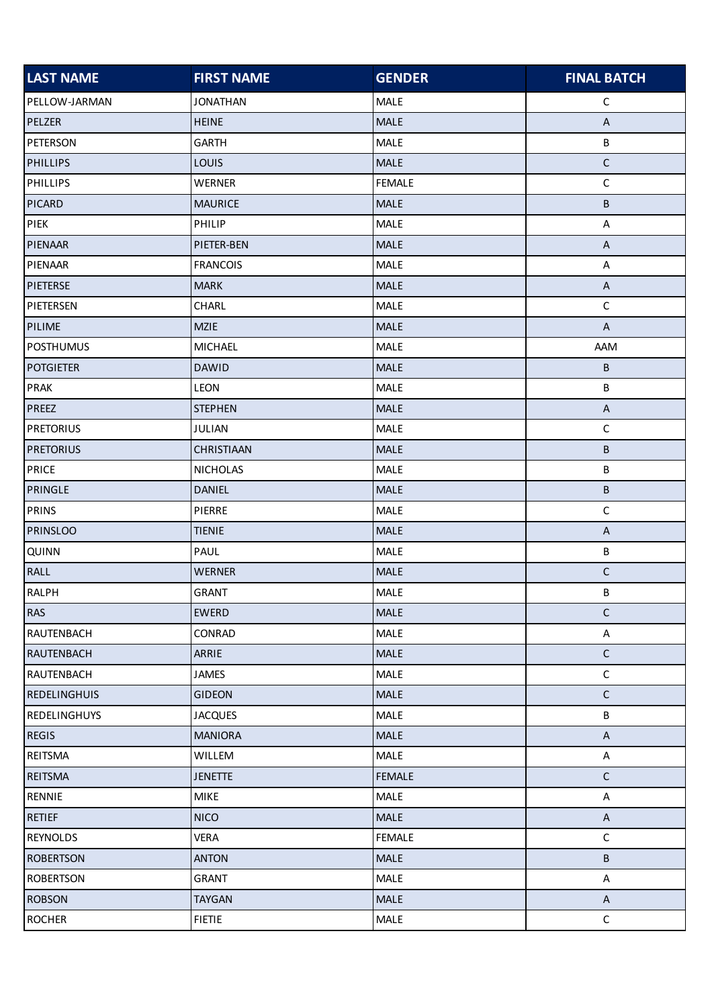| <b>LAST NAME</b>    | <b>FIRST NAME</b> | <b>GENDER</b> | <b>FINAL BATCH</b>        |
|---------------------|-------------------|---------------|---------------------------|
| PELLOW-JARMAN       | <b>JONATHAN</b>   | <b>MALE</b>   | $\mathsf{C}$              |
| PELZER              | <b>HEINE</b>      | MALE          | $\boldsymbol{\mathsf{A}}$ |
| <b>PETERSON</b>     | <b>GARTH</b>      | MALE          | B                         |
| <b>PHILLIPS</b>     | LOUIS             | MALE          | $\mathsf C$               |
| <b>PHILLIPS</b>     | <b>WERNER</b>     | <b>FEMALE</b> | $\mathsf C$               |
| <b>PICARD</b>       | <b>MAURICE</b>    | <b>MALE</b>   | В                         |
| PIEK                | PHILIP            | MALE          | A                         |
| PIENAAR             | PIETER-BEN        | MALE          | $\mathsf{A}$              |
| PIENAAR             | <b>FRANCOIS</b>   | MALE          | A                         |
| <b>PIETERSE</b>     | <b>MARK</b>       | <b>MALE</b>   | $\sf A$                   |
| PIETERSEN           | CHARL             | MALE          | $\mathsf C$               |
| PILIME              | <b>MZIE</b>       | MALE          | $\boldsymbol{\mathsf{A}}$ |
| <b>POSTHUMUS</b>    | <b>MICHAEL</b>    | MALE          | <b>AAM</b>                |
| <b>POTGIETER</b>    | <b>DAWID</b>      | <b>MALE</b>   | B                         |
| <b>PRAK</b>         | LEON              | MALE          | B                         |
| <b>PREEZ</b>        | <b>STEPHEN</b>    | <b>MALE</b>   | $\boldsymbol{\mathsf{A}}$ |
| <b>PRETORIUS</b>    | JULIAN            | MALE          | $\mathsf C$               |
| <b>PRETORIUS</b>    | CHRISTIAAN        | <b>MALE</b>   | B                         |
| <b>PRICE</b>        | <b>NICHOLAS</b>   | <b>MALE</b>   | B                         |
| <b>PRINGLE</b>      | <b>DANIEL</b>     | <b>MALE</b>   | B                         |
| <b>PRINS</b>        | PIERRE            | <b>MALE</b>   | $\mathsf C$               |
| <b>PRINSLOO</b>     | <b>TIENIE</b>     | <b>MALE</b>   | $\boldsymbol{\mathsf{A}}$ |
| <b>QUINN</b>        | PAUL              | MALE          | B                         |
| <b>RALL</b>         | <b>WERNER</b>     | MALE          | $\mathsf C$               |
| <b>RALPH</b>        | <b>GRANT</b>      | <b>MALE</b>   | B                         |
| <b>RAS</b>          | <b>EWERD</b>      | MALE          | $\mathsf C$               |
| RAUTENBACH          | CONRAD            | <b>MALE</b>   | A                         |
| <b>RAUTENBACH</b>   | ARRIE             | MALE          | $\mathsf C$               |
| RAUTENBACH          | JAMES             | <b>MALE</b>   | $\mathsf C$               |
| <b>REDELINGHUIS</b> | <b>GIDEON</b>     | <b>MALE</b>   | $\mathsf C$               |
| <b>REDELINGHUYS</b> | <b>JACQUES</b>    | <b>MALE</b>   | B                         |
| <b>REGIS</b>        | <b>MANIORA</b>    | <b>MALE</b>   | $\boldsymbol{\mathsf{A}}$ |
| REITSMA             | WILLEM            | <b>MALE</b>   | $\boldsymbol{\mathsf{A}}$ |
| <b>REITSMA</b>      | <b>JENETTE</b>    | <b>FEMALE</b> | $\mathsf C$               |
| RENNIE              | <b>MIKE</b>       | MALE          | A                         |
| <b>RETIEF</b>       | <b>NICO</b>       | <b>MALE</b>   | $\mathsf{A}$              |
| <b>REYNOLDS</b>     | <b>VERA</b>       | <b>FEMALE</b> | $\mathsf C$               |
| <b>ROBERTSON</b>    | <b>ANTON</b>      | MALE          | B                         |
| <b>ROBERTSON</b>    | <b>GRANT</b>      | MALE          | $\boldsymbol{\mathsf{A}}$ |
| <b>ROBSON</b>       | <b>TAYGAN</b>     | <b>MALE</b>   | $\mathsf{A}$              |
| <b>ROCHER</b>       | <b>FIETIE</b>     | <b>MALE</b>   | $\mathsf C$               |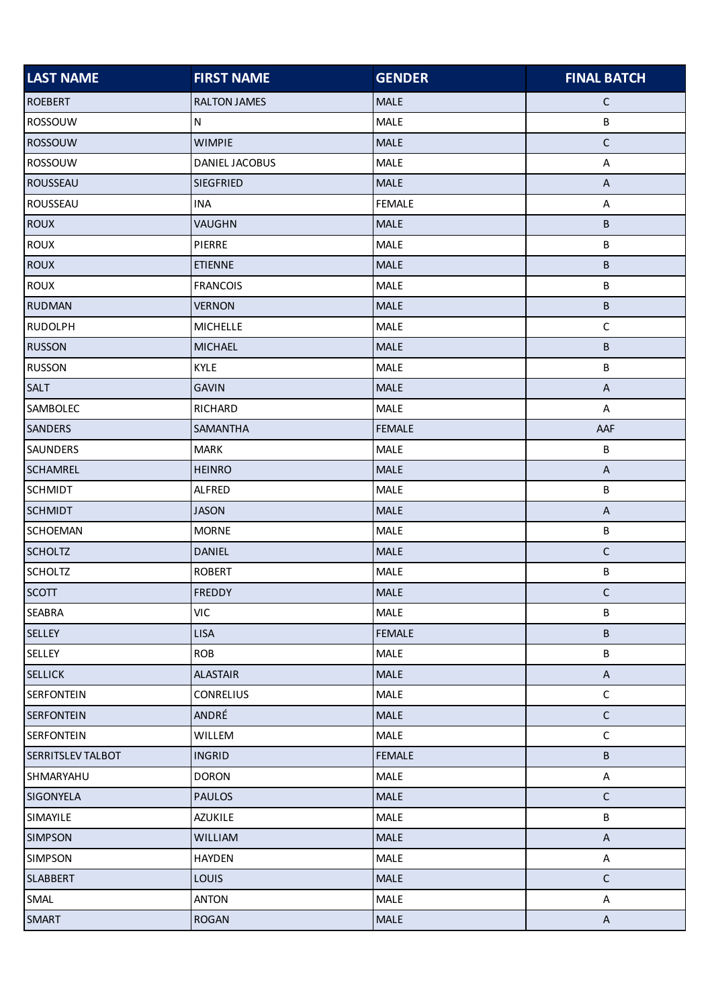| <b>LAST NAME</b>  | <b>FIRST NAME</b>   | <b>GENDER</b> | <b>FINAL BATCH</b>        |
|-------------------|---------------------|---------------|---------------------------|
| <b>ROEBERT</b>    | <b>RALTON JAMES</b> | <b>MALE</b>   | $\mathsf{C}$              |
| ROSSOUW           | N                   | MALE          | $\sf B$                   |
| <b>ROSSOUW</b>    | <b>WIMPIE</b>       | <b>MALE</b>   | $\mathsf C$               |
| ROSSOUW           | DANIEL JACOBUS      | MALE          | $\mathsf A$               |
| <b>ROUSSEAU</b>   | <b>SIEGFRIED</b>    | <b>MALE</b>   | $\boldsymbol{\mathsf{A}}$ |
| ROUSSEAU          | <b>INA</b>          | <b>FEMALE</b> | A                         |
| <b>ROUX</b>       | VAUGHN              | <b>MALE</b>   | В                         |
| <b>ROUX</b>       | PIERRE              | MALE          | B                         |
| <b>ROUX</b>       | <b>ETIENNE</b>      | <b>MALE</b>   | B                         |
| <b>ROUX</b>       | <b>FRANCOIS</b>     | MALE          | В                         |
| <b>RUDMAN</b>     | <b>VERNON</b>       | MALE          | B                         |
| <b>RUDOLPH</b>    | <b>MICHELLE</b>     | MALE          | $\mathsf C$               |
| <b>RUSSON</b>     | <b>MICHAEL</b>      | MALE          | B                         |
| <b>RUSSON</b>     | <b>KYLE</b>         | <b>MALE</b>   | B                         |
| <b>SALT</b>       | <b>GAVIN</b>        | MALE          | $\boldsymbol{\mathsf{A}}$ |
| SAMBOLEC          | RICHARD             | <b>MALE</b>   | A                         |
| <b>SANDERS</b>    | SAMANTHA            | <b>FEMALE</b> | AAF                       |
| <b>SAUNDERS</b>   | <b>MARK</b>         | MALE          | $\sf B$                   |
| <b>SCHAMREL</b>   | <b>HEINRO</b>       | MALE          | $\mathsf A$               |
| <b>SCHMIDT</b>    | ALFRED              | MALE          | B                         |
| <b>SCHMIDT</b>    | <b>JASON</b>        | <b>MALE</b>   | $\boldsymbol{\mathsf{A}}$ |
| <b>SCHOEMAN</b>   | <b>MORNE</b>        | MALE          | B                         |
| <b>SCHOLTZ</b>    | <b>DANIEL</b>       | MALE          | $\mathsf C$               |
| <b>SCHOLTZ</b>    | <b>ROBERT</b>       | MALE          | B                         |
| <b>SCOTT</b>      | <b>FREDDY</b>       | <b>MALE</b>   | $\mathsf C$               |
| <b>SEABRA</b>     | <b>VIC</b>          | <b>MALE</b>   | В                         |
| SELLEY            | <b>LISA</b>         | <b>FEMALE</b> | B                         |
| SELLEY            | <b>ROB</b>          | MALE          | B                         |
| <b>SELLICK</b>    | <b>ALASTAIR</b>     | <b>MALE</b>   | $\mathsf{A}$              |
| <b>SERFONTEIN</b> | <b>CONRELIUS</b>    | MALE          | $\mathsf C$               |
| <b>SERFONTEIN</b> | ANDRÉ               | <b>MALE</b>   | $\mathsf C$               |
| <b>SERFONTEIN</b> | WILLEM              | <b>MALE</b>   | $\mathsf C$               |
| SERRITSLEV TALBOT | <b>INGRID</b>       | <b>FEMALE</b> | B                         |
| SHMARYAHU         | <b>DORON</b>        | <b>MALE</b>   | A                         |
| <b>SIGONYELA</b>  | <b>PAULOS</b>       | <b>MALE</b>   | $\mathsf C$               |
| SIMAYILE          | AZUKILE             | <b>MALE</b>   | B                         |
| <b>SIMPSON</b>    | <b>WILLIAM</b>      | <b>MALE</b>   | $\boldsymbol{\mathsf{A}}$ |
| <b>SIMPSON</b>    | <b>HAYDEN</b>       | MALE          | $\boldsymbol{\mathsf{A}}$ |
| <b>SLABBERT</b>   | <b>LOUIS</b>        | MALE          | $\mathsf C$               |
| SMAL              | <b>ANTON</b>        | <b>MALE</b>   | A                         |
| <b>SMART</b>      | <b>ROGAN</b>        | <b>MALE</b>   | $\mathsf{A}$              |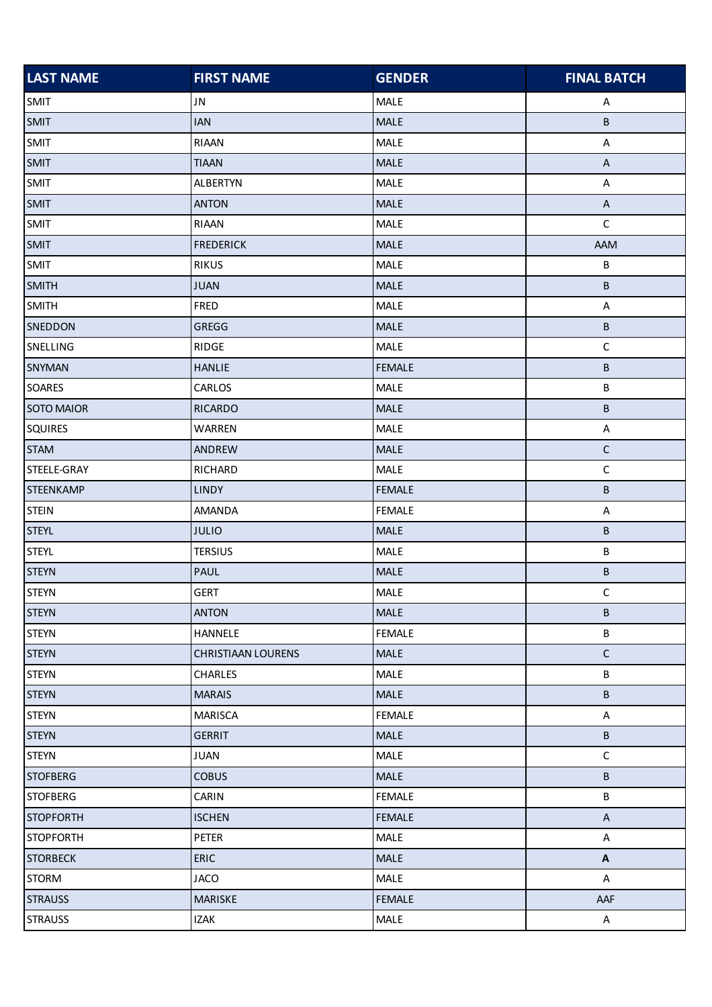| <b>LAST NAME</b>  | <b>FIRST NAME</b>         | <b>GENDER</b> | <b>FINAL BATCH</b>        |
|-------------------|---------------------------|---------------|---------------------------|
| <b>SMIT</b>       | <b>JN</b>                 | MALE          | Α                         |
| <b>SMIT</b>       | <b>IAN</b>                | MALE          | В                         |
| <b>SMIT</b>       | RIAAN                     | MALE          | $\sf A$                   |
| <b>SMIT</b>       | <b>TIAAN</b>              | MALE          | $\boldsymbol{\mathsf{A}}$ |
| <b>SMIT</b>       | <b>ALBERTYN</b>           | MALE          | $\mathsf A$               |
| <b>SMIT</b>       | <b>ANTON</b>              | MALE          | $\sf A$                   |
| <b>SMIT</b>       | RIAAN                     | MALE          | $\mathsf C$               |
| <b>SMIT</b>       | <b>FREDERICK</b>          | <b>MALE</b>   | AAM                       |
| <b>SMIT</b>       | <b>RIKUS</b>              | MALE          | B                         |
| <b>SMITH</b>      | <b>JUAN</b>               | MALE          | B                         |
| <b>SMITH</b>      | FRED                      | MALE          | $\mathsf A$               |
| SNEDDON           | GREGG                     | MALE          | B                         |
| SNELLING          | RIDGE                     | MALE          | $\mathsf C$               |
| SNYMAN            | <b>HANLIE</b>             | <b>FEMALE</b> | B                         |
| <b>SOARES</b>     | CARLOS                    | MALE          | B                         |
| <b>SOTO MAIOR</b> | <b>RICARDO</b>            | <b>MALE</b>   | B                         |
| <b>SQUIRES</b>    | WARREN                    | MALE          | $\sf A$                   |
| <b>STAM</b>       | ANDREW                    | MALE          | $\mathsf C$               |
| STEELE-GRAY       | RICHARD                   | MALE          | $\mathsf C$               |
| <b>STEENKAMP</b>  | <b>LINDY</b>              | <b>FEMALE</b> | B                         |
| <b>STEIN</b>      | AMANDA                    | <b>FEMALE</b> | A                         |
| <b>STEYL</b>      | <b>JULIO</b>              | <b>MALE</b>   | B                         |
| <b>STEYL</b>      | <b>TERSIUS</b>            | MALE          | B                         |
| <b>STEYN</b>      | <b>PAUL</b>               | MALE          | B                         |
| <b>STEYN</b>      | <b>GERT</b>               | MALE          | $\mathsf C$               |
| <b>STEYN</b>      | <b>ANTON</b>              | <b>MALE</b>   | B                         |
| <b>STEYN</b>      | HANNELE                   | <b>FEMALE</b> | B                         |
| <b>STEYN</b>      | <b>CHRISTIAAN LOURENS</b> | <b>MALE</b>   | $\mathsf C$               |
| <b>STEYN</b>      | <b>CHARLES</b>            | <b>MALE</b>   | B                         |
| <b>STEYN</b>      | <b>MARAIS</b>             | <b>MALE</b>   | B                         |
| <b>STEYN</b>      | <b>MARISCA</b>            | <b>FEMALE</b> | $\boldsymbol{\mathsf{A}}$ |
| <b>STEYN</b>      | <b>GERRIT</b>             | MALE          | $\sf B$                   |
| <b>STEYN</b>      | <b>JUAN</b>               | MALE          | $\mathsf C$               |
| <b>STOFBERG</b>   | <b>COBUS</b>              | <b>MALE</b>   | В                         |
| <b>STOFBERG</b>   | CARIN                     | <b>FEMALE</b> | B                         |
| <b>STOPFORTH</b>  | <b>ISCHEN</b>             | <b>FEMALE</b> | $\mathsf{A}$              |
| <b>STOPFORTH</b>  | PETER                     | MALE          | A                         |
| <b>STORBECK</b>   | ERIC                      | MALE          | $\boldsymbol{\mathsf{A}}$ |
| <b>STORM</b>      | <b>JACO</b>               | <b>MALE</b>   | $\boldsymbol{\mathsf{A}}$ |
| <b>STRAUSS</b>    | MARISKE                   | <b>FEMALE</b> | AAF                       |
| <b>STRAUSS</b>    | IZAK                      | <b>MALE</b>   | $\mathsf{A}$              |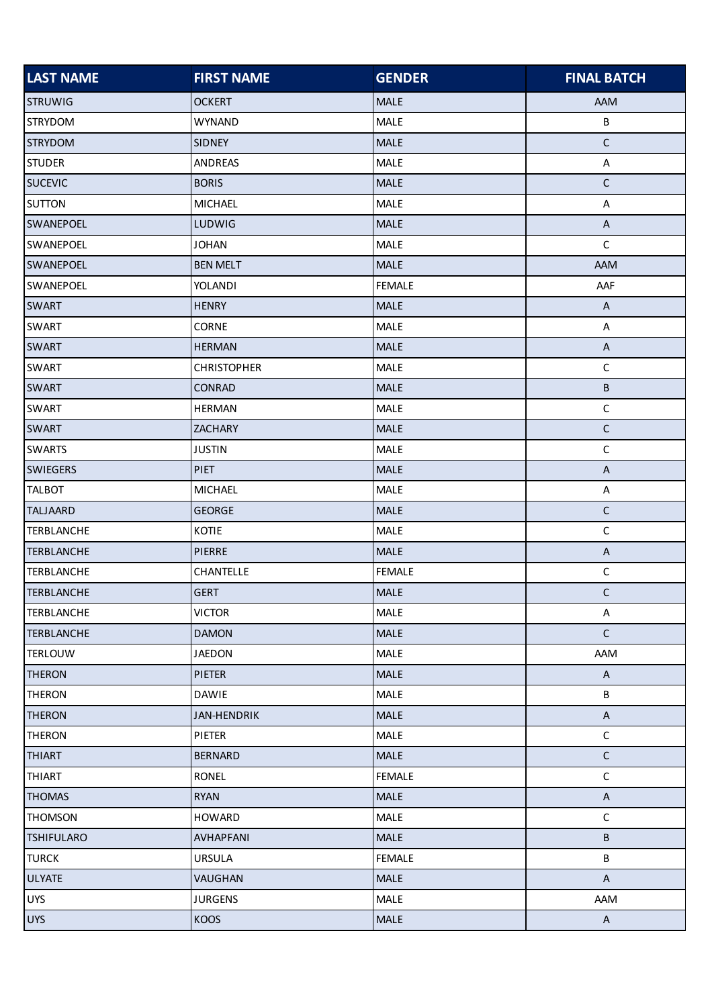| <b>LAST NAME</b>  | <b>FIRST NAME</b>  | <b>GENDER</b> | <b>FINAL BATCH</b>        |
|-------------------|--------------------|---------------|---------------------------|
| <b>STRUWIG</b>    | <b>OCKERT</b>      | <b>MALE</b>   | AAM                       |
| <b>STRYDOM</b>    | <b>WYNAND</b>      | MALE          | $\sf B$                   |
| <b>STRYDOM</b>    | <b>SIDNEY</b>      | <b>MALE</b>   | $\mathsf C$               |
| <b>STUDER</b>     | ANDREAS            | MALE          | $\mathsf A$               |
| <b>SUCEVIC</b>    | <b>BORIS</b>       | MALE          | $\mathsf C$               |
| <b>SUTTON</b>     | <b>MICHAEL</b>     | MALE          | A                         |
| <b>SWANEPOEL</b>  | LUDWIG             | <b>MALE</b>   | A                         |
| <b>SWANEPOEL</b>  | <b>JOHAN</b>       | <b>MALE</b>   | $\mathsf C$               |
| <b>SWANEPOEL</b>  | <b>BEN MELT</b>    | <b>MALE</b>   | AAM                       |
| SWANEPOEL         | YOLANDI            | <b>FEMALE</b> | AAF                       |
| <b>SWART</b>      | <b>HENRY</b>       | MALE          | $\boldsymbol{\mathsf{A}}$ |
| <b>SWART</b>      | <b>CORNE</b>       | <b>MALE</b>   | A                         |
| <b>SWART</b>      | <b>HERMAN</b>      | <b>MALE</b>   | $\boldsymbol{\mathsf{A}}$ |
| SWART             | <b>CHRISTOPHER</b> | MALE          | $\mathsf C$               |
| <b>SWART</b>      | CONRAD             | <b>MALE</b>   | $\sf B$                   |
| <b>SWART</b>      | <b>HERMAN</b>      | MALE          | $\mathsf C$               |
| <b>SWART</b>      | ZACHARY            | MALE          | $\mathsf C$               |
| <b>SWARTS</b>     | <b>JUSTIN</b>      | MALE          | $\mathsf C$               |
| <b>SWIEGERS</b>   | <b>PIET</b>        | <b>MALE</b>   | $\boldsymbol{\mathsf{A}}$ |
| <b>TALBOT</b>     | <b>MICHAEL</b>     | MALE          | A                         |
| <b>TALJAARD</b>   | <b>GEORGE</b>      | <b>MALE</b>   | $\mathsf{C}$              |
| <b>TERBLANCHE</b> | KOTIE              | MALE          | $\mathsf C$               |
| <b>TERBLANCHE</b> | <b>PIERRE</b>      | <b>MALE</b>   | $\boldsymbol{\mathsf{A}}$ |
| <b>TERBLANCHE</b> | CHANTELLE          | <b>FEMALE</b> | $\mathsf C$               |
| <b>TERBLANCHE</b> | <b>GERT</b>        | <b>MALE</b>   | $\mathsf C$               |
| <b>TERBLANCHE</b> | <b>VICTOR</b>      | MALE          | $\mathsf A$               |
| <b>TERBLANCHE</b> | <b>DAMON</b>       | MALE          | $\mathsf C$               |
| <b>TERLOUW</b>    | <b>JAEDON</b>      | MALE          | AAM                       |
| <b>THERON</b>     | <b>PIETER</b>      | MALE          | $\mathsf{A}$              |
| <b>THERON</b>     | <b>DAWIE</b>       | <b>MALE</b>   | B                         |
| <b>THERON</b>     | <b>JAN-HENDRIK</b> | MALE          | $\mathsf A$               |
| <b>THERON</b>     | PIETER             | MALE          | $\mathsf C$               |
| <b>THIART</b>     | <b>BERNARD</b>     | <b>MALE</b>   | $\mathsf C$               |
| <b>THIART</b>     | <b>RONEL</b>       | <b>FEMALE</b> | $\mathsf C$               |
| <b>THOMAS</b>     | <b>RYAN</b>        | <b>MALE</b>   | $\boldsymbol{\mathsf{A}}$ |
| <b>THOMSON</b>    | <b>HOWARD</b>      | <b>MALE</b>   | $\mathsf C$               |
| <b>TSHIFULARO</b> | AVHAPFANI          | <b>MALE</b>   | $\sf B$                   |
| <b>TURCK</b>      | <b>URSULA</b>      | <b>FEMALE</b> | B                         |
| <b>ULYATE</b>     | VAUGHAN            | MALE          | $\boldsymbol{\mathsf{A}}$ |
| <b>UYS</b>        | <b>JURGENS</b>     | <b>MALE</b>   | AAM                       |
| <b>UYS</b>        | KOOS               | <b>MALE</b>   | $\mathsf{A}$              |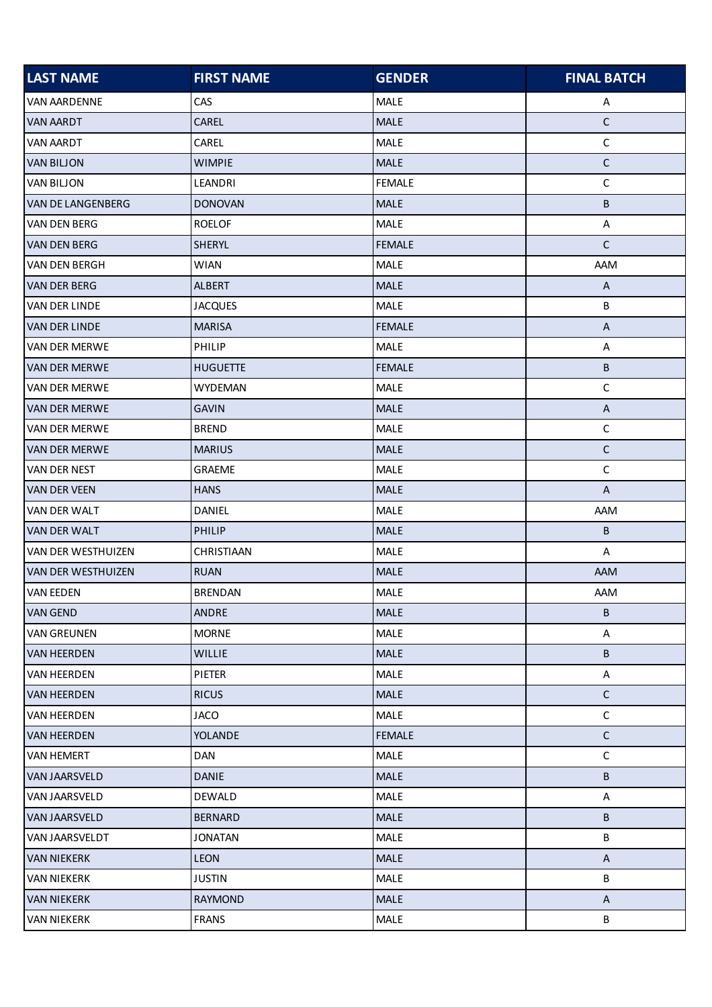| <b>LAST NAME</b>          | <b>FIRST NAME</b> | <b>GENDER</b> | <b>FINAL BATCH</b>        |
|---------------------------|-------------------|---------------|---------------------------|
| <b>VAN AARDENNE</b>       | <b>CAS</b>        | <b>MALE</b>   | A                         |
| VAN AARDT                 | <b>CAREL</b>      | <b>MALE</b>   | $\mathsf C$               |
| <b>VAN AARDT</b>          | CAREL             | <b>MALE</b>   | $\mathsf C$               |
| <b>VAN BILJON</b>         | <b>WIMPIE</b>     | <b>MALE</b>   | $\mathsf{C}$              |
| <b>VAN BILJON</b>         | LEANDRI           | <b>FEMALE</b> | $\mathsf C$               |
| <b>VAN DE LANGENBERG</b>  | <b>DONOVAN</b>    | <b>MALE</b>   | В                         |
| VAN DEN BERG              | <b>ROELOF</b>     | <b>MALE</b>   | Α                         |
| <b>VAN DEN BERG</b>       | SHERYL            | <b>FEMALE</b> | $\mathsf{C}$              |
| <b>VAN DEN BERGH</b>      | <b>WIAN</b>       | <b>MALE</b>   | AAM                       |
| <b>VAN DER BERG</b>       | ALBERT            | <b>MALE</b>   | A                         |
| VAN DER LINDE             | <b>JACQUES</b>    | <b>MALE</b>   | В                         |
| <b>VAN DER LINDE</b>      | <b>MARISA</b>     | <b>FEMALE</b> | $\mathsf{A}$              |
| <b>VAN DER MERWE</b>      | PHILIP            | <b>MALE</b>   | Α                         |
| <b>VAN DER MERWE</b>      | <b>HUGUETTE</b>   | <b>FEMALE</b> | B                         |
| <b>VAN DER MERWE</b>      | <b>WYDEMAN</b>    | <b>MALE</b>   | $\mathsf C$               |
| <b>VAN DER MERWE</b>      | <b>GAVIN</b>      | <b>MALE</b>   | $\boldsymbol{\mathsf{A}}$ |
| VAN DER MERWE             | <b>BREND</b>      | <b>MALE</b>   | $\mathsf C$               |
| <b>VAN DER MERWE</b>      | <b>MARIUS</b>     | <b>MALE</b>   | $\mathsf C$               |
| VAN DER NEST              | <b>GRAEME</b>     | <b>MALE</b>   | С                         |
| <b>VAN DER VEEN</b>       | <b>HANS</b>       | <b>MALE</b>   | A                         |
| VAN DER WALT              | DANIEL            | <b>MALE</b>   | AAM                       |
| VAN DER WALT              | PHILIP            | <b>MALE</b>   | B                         |
| VAN DER WESTHUIZEN        | CHRISTIAAN        | <b>MALE</b>   | Α                         |
| <b>VAN DER WESTHUIZEN</b> | <b>RUAN</b>       | <b>MALE</b>   | AAM                       |
| <b>VAN EEDEN</b>          | <b>BRENDAN</b>    | <b>MALE</b>   | AAM                       |
| <b>VAN GEND</b>           | <b>ANDRE</b>      | <b>MALE</b>   | В                         |
| <b>VAN GREUNEN</b>        | <b>MORNE</b>      | <b>MALE</b>   | A                         |
| <b>VAN HEERDEN</b>        | <b>WILLIE</b>     | <b>MALE</b>   | B                         |
| <b>VAN HEERDEN</b>        | PIETER            | <b>MALE</b>   | A                         |
| <b>VAN HEERDEN</b>        | <b>RICUS</b>      | <b>MALE</b>   | $\mathsf C$               |
| VAN HEERDEN               | <b>JACO</b>       | <b>MALE</b>   | $\mathsf C$               |
| <b>VAN HEERDEN</b>        | <b>YOLANDE</b>    | <b>FEMALE</b> | $\mathsf C$               |
| <b>VAN HEMERT</b>         | <b>DAN</b>        | <b>MALE</b>   | $\mathsf C$               |
| <b>VAN JAARSVELD</b>      | <b>DANIE</b>      | <b>MALE</b>   | B                         |
| VAN JAARSVELD             | DEWALD            | <b>MALE</b>   | A                         |
| <b>VAN JAARSVELD</b>      | <b>BERNARD</b>    | <b>MALE</b>   | B                         |
| VAN JAARSVELDT            | <b>JONATAN</b>    | <b>MALE</b>   | B                         |
| <b>VAN NIEKERK</b>        | LEON              | <b>MALE</b>   | $\boldsymbol{\mathsf{A}}$ |
| <b>VAN NIEKERK</b>        | <b>JUSTIN</b>     | <b>MALE</b>   | B                         |
| <b>VAN NIEKERK</b>        | <b>RAYMOND</b>    | <b>MALE</b>   | A                         |
| <b>VAN NIEKERK</b>        | <b>FRANS</b>      | <b>MALE</b>   | B                         |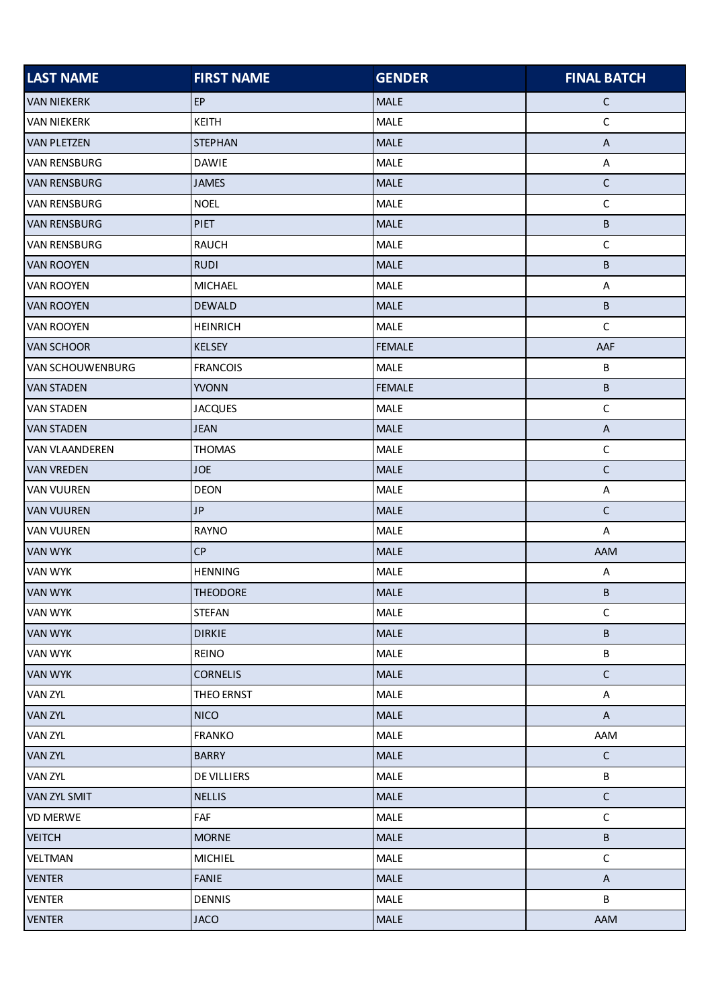| <b>LAST NAME</b>      | <b>FIRST NAME</b> | <b>GENDER</b> | <b>FINAL BATCH</b>        |
|-----------------------|-------------------|---------------|---------------------------|
| <b>VAN NIEKERK</b>    | EP                | <b>MALE</b>   | $\mathsf{C}$              |
| <b>VAN NIEKERK</b>    | KEITH             | <b>MALE</b>   | $\mathsf C$               |
| <b>VAN PLETZEN</b>    | <b>STEPHAN</b>    | <b>MALE</b>   | $\boldsymbol{\mathsf{A}}$ |
| <b>VAN RENSBURG</b>   | <b>DAWIE</b>      | MALE          | A                         |
| <b>VAN RENSBURG</b>   | <b>JAMES</b>      | <b>MALE</b>   | $\mathsf C$               |
| <b>VAN RENSBURG</b>   | <b>NOEL</b>       | MALE          | $\mathsf C$               |
| <b>VAN RENSBURG</b>   | <b>PIET</b>       | <b>MALE</b>   | $\sf B$                   |
| <b>VAN RENSBURG</b>   | <b>RAUCH</b>      | MALE          | $\mathsf C$               |
| <b>VAN ROOYEN</b>     | <b>RUDI</b>       | <b>MALE</b>   | B                         |
| <b>VAN ROOYEN</b>     | <b>MICHAEL</b>    | MALE          | A                         |
| <b>VAN ROOYEN</b>     | <b>DEWALD</b>     | <b>MALE</b>   | $\sf B$                   |
| <b>VAN ROOYEN</b>     | <b>HEINRICH</b>   | <b>MALE</b>   | $\mathsf C$               |
| <b>VAN SCHOOR</b>     | KELSEY            | <b>FEMALE</b> | AAF                       |
| VAN SCHOUWENBURG      | <b>FRANCOIS</b>   | MALE          | $\sf B$                   |
| <b>VAN STADEN</b>     | <b>YVONN</b>      | <b>FEMALE</b> | $\sf B$                   |
| <b>VAN STADEN</b>     | <b>JACQUES</b>    | MALE          | $\mathsf C$               |
| <b>VAN STADEN</b>     | <b>JEAN</b>       | <b>MALE</b>   | $\boldsymbol{\mathsf{A}}$ |
| <b>VAN VLAANDEREN</b> | <b>THOMAS</b>     | MALE          | $\mathsf C$               |
| <b>VAN VREDEN</b>     | <b>JOE</b>        | <b>MALE</b>   | $\mathsf C$               |
| <b>VAN VUUREN</b>     | <b>DEON</b>       | <b>MALE</b>   | A                         |
| <b>VAN VUUREN</b>     | JP                | MALE          | $\mathsf C$               |
| <b>VAN VUUREN</b>     | <b>RAYNO</b>      | MALE          | A                         |
| <b>VAN WYK</b>        | CP                | MALE          | AAM                       |
| <b>VAN WYK</b>        | <b>HENNING</b>    | <b>MALE</b>   | A                         |
| <b>VAN WYK</b>        | <b>THEODORE</b>   | <b>MALE</b>   | В                         |
| <b>VAN WYK</b>        | <b>STEFAN</b>     | <b>MALE</b>   | $\mathsf C$               |
| <b>VAN WYK</b>        | <b>DIRKIE</b>     | MALE          | $\sf B$                   |
| <b>VAN WYK</b>        | <b>REINO</b>      | <b>MALE</b>   | B                         |
| <b>VAN WYK</b>        | <b>CORNELIS</b>   | <b>MALE</b>   | $\mathsf C$               |
| <b>VAN ZYL</b>        | THEO ERNST        | <b>MALE</b>   | A                         |
| <b>VAN ZYL</b>        | <b>NICO</b>       | MALE          | $\boldsymbol{\mathsf{A}}$ |
| VAN ZYL               | <b>FRANKO</b>     | <b>MALE</b>   | AAM                       |
| VAN ZYL               | <b>BARRY</b>      | <b>MALE</b>   | $\mathsf{C}$              |
| <b>VAN ZYL</b>        | DE VILLIERS       | <b>MALE</b>   | B                         |
| VAN ZYL SMIT          | <b>NELLIS</b>     | <b>MALE</b>   | $\mathsf C$               |
| <b>VD MERWE</b>       | FAF               | <b>MALE</b>   | $\mathsf C$               |
| <b>VEITCH</b>         | <b>MORNE</b>      | MALE          | $\sf B$                   |
| VELTMAN               | <b>MICHIEL</b>    | MALE          | $\mathsf C$               |
| <b>VENTER</b>         | <b>FANIE</b>      | <b>MALE</b>   | $\boldsymbol{\mathsf{A}}$ |
| <b>VENTER</b>         | DENNIS            | <b>MALE</b>   | B                         |
| <b>VENTER</b>         | <b>JACO</b>       | <b>MALE</b>   | AAM                       |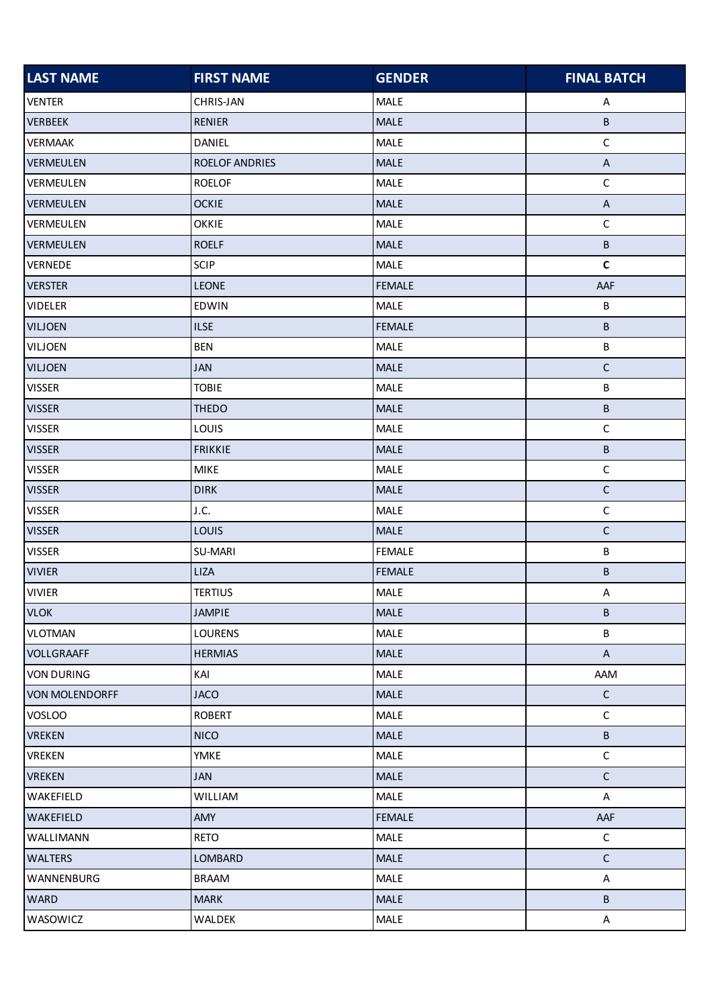| <b>LAST NAME</b>  | <b>FIRST NAME</b> | <b>GENDER</b> | <b>FINAL BATCH</b>        |
|-------------------|-------------------|---------------|---------------------------|
| <b>VENTER</b>     | CHRIS-JAN         | <b>MALE</b>   | A                         |
| <b>VERBEEK</b>    | <b>RENIER</b>     | MALE          | В                         |
| <b>VERMAAK</b>    | DANIEL            | MALE          | $\mathsf C$               |
| <b>VERMEULEN</b>  | ROELOF ANDRIES    | MALE          | $\boldsymbol{\mathsf{A}}$ |
| VERMEULEN         | <b>ROELOF</b>     | MALE          | $\mathsf C$               |
| <b>VERMEULEN</b>  | <b>OCKIE</b>      | <b>MALE</b>   | $\boldsymbol{\mathsf{A}}$ |
| VERMEULEN         | <b>OKKIE</b>      | MALE          | $\mathsf C$               |
| <b>VERMEULEN</b>  | <b>ROELF</b>      | MALE          | B                         |
| VERNEDE           | <b>SCIP</b>       | MALE          | $\mathbf{C}$              |
| <b>VERSTER</b>    | <b>LEONE</b>      | <b>FEMALE</b> | AAF                       |
| <b>VIDELER</b>    | EDWIN             | MALE          | B                         |
| <b>VILJOEN</b>    | <b>ILSE</b>       | <b>FEMALE</b> | B                         |
| VILJOEN           | <b>BEN</b>        | MALE          | B                         |
| <b>VILJOEN</b>    | <b>JAN</b>        | <b>MALE</b>   | $\mathsf C$               |
| <b>VISSER</b>     | <b>TOBIE</b>      | MALE          | B                         |
| <b>VISSER</b>     | <b>THEDO</b>      | <b>MALE</b>   | B                         |
| <b>VISSER</b>     | LOUIS             | MALE          | $\mathsf C$               |
| <b>VISSER</b>     | <b>FRIKKIE</b>    | MALE          | B                         |
| <b>VISSER</b>     | <b>MIKE</b>       | MALE          | $\mathsf C$               |
| <b>VISSER</b>     | <b>DIRK</b>       | MALE          | $\mathsf C$               |
| <b>VISSER</b>     | J.C.              | MALE          | $\mathsf C$               |
| <b>VISSER</b>     | LOUIS             | <b>MALE</b>   | $\mathsf C$               |
| <b>VISSER</b>     | SU-MARI           | <b>FEMALE</b> | B                         |
| <b>VIVIER</b>     | LIZA              | <b>FEMALE</b> | B                         |
| <b>VIVIER</b>     | <b>TERTIUS</b>    | MALE          | A                         |
| <b>VLOK</b>       | <b>JAMPIE</b>     | <b>MALE</b>   | B                         |
| <b>VLOTMAN</b>    | <b>LOURENS</b>    | MALE          | B                         |
| <b>VOLLGRAAFF</b> | <b>HERMIAS</b>    | <b>MALE</b>   | $\mathsf{A}$              |
| <b>VON DURING</b> | KAI               | MALE          | AAM                       |
| VON MOLENDORFF    | <b>JACO</b>       | <b>MALE</b>   | $\mathsf C$               |
| <b>VOSLOO</b>     | <b>ROBERT</b>     | MALE          | $\mathsf C$               |
| <b>VREKEN</b>     | <b>NICO</b>       | <b>MALE</b>   | B                         |
| VREKEN            | <b>YMKE</b>       | MALE          | $\mathsf C$               |
| <b>VREKEN</b>     | <b>JAN</b>        | <b>MALE</b>   | $\mathsf{C}$              |
| WAKEFIELD         | WILLIAM           | <b>MALE</b>   | $\mathsf{A}$              |
| WAKEFIELD         | AMY               | <b>FEMALE</b> | AAF                       |
| WALLIMANN         | RETO              | MALE          | $\mathsf C$               |
| WALTERS           | LOMBARD           | <b>MALE</b>   | $\mathsf C$               |
| WANNENBURG        | <b>BRAAM</b>      | MALE          | A                         |
| <b>WARD</b>       | <b>MARK</b>       | <b>MALE</b>   | B                         |
| WASOWICZ          | WALDEK            | <b>MALE</b>   | $\mathsf{A}$              |